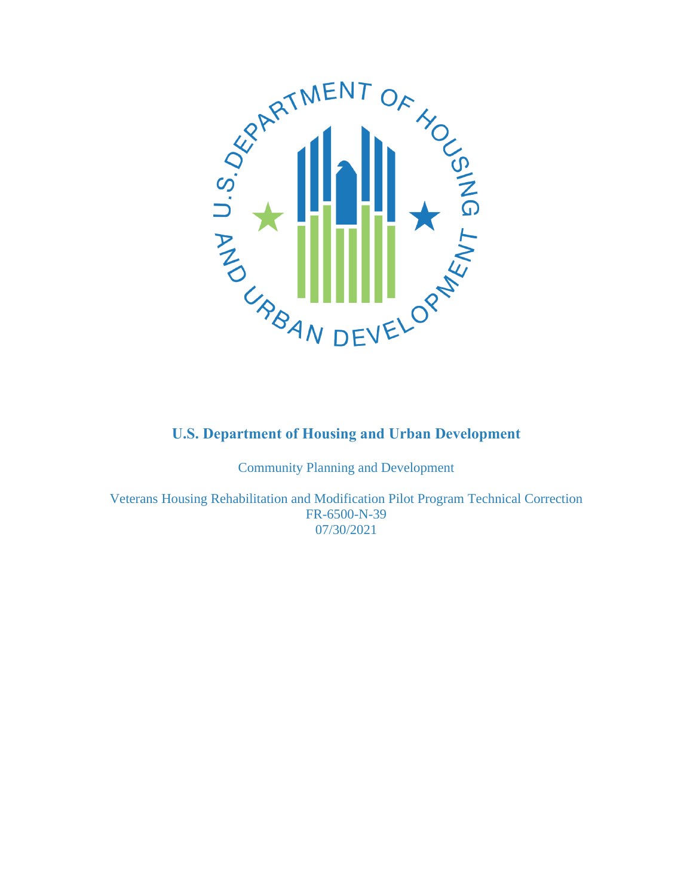

Community Planning and Development

Veterans Housing Rehabilitation and Modification Pilot Program Technical Correction FR-6500-N-39 07/30/2021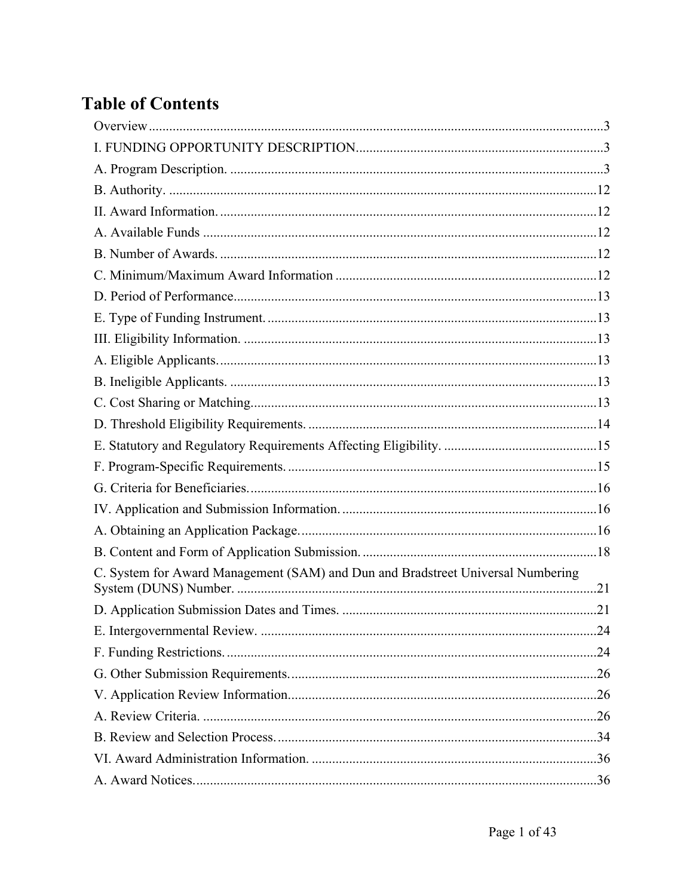# **Table of Contents**

| C. System for Award Management (SAM) and Dun and Bradstreet Universal Numbering |  |
|---------------------------------------------------------------------------------|--|
|                                                                                 |  |
|                                                                                 |  |
|                                                                                 |  |
|                                                                                 |  |
|                                                                                 |  |
|                                                                                 |  |
|                                                                                 |  |
|                                                                                 |  |
|                                                                                 |  |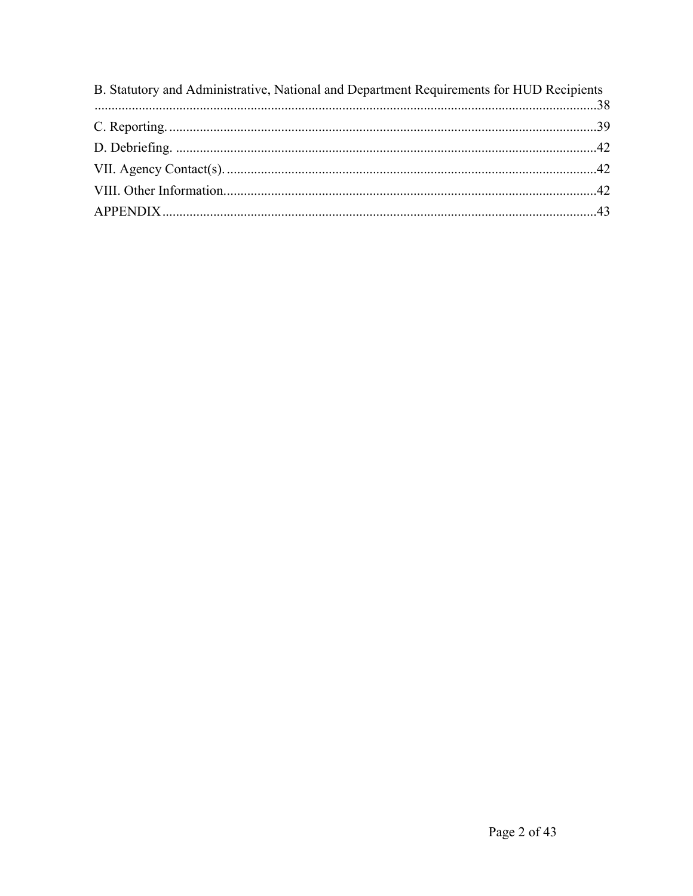| B. Statutory and Administrative, National and Department Requirements for HUD Recipients |  |
|------------------------------------------------------------------------------------------|--|
|                                                                                          |  |
|                                                                                          |  |
|                                                                                          |  |
|                                                                                          |  |
|                                                                                          |  |
|                                                                                          |  |
|                                                                                          |  |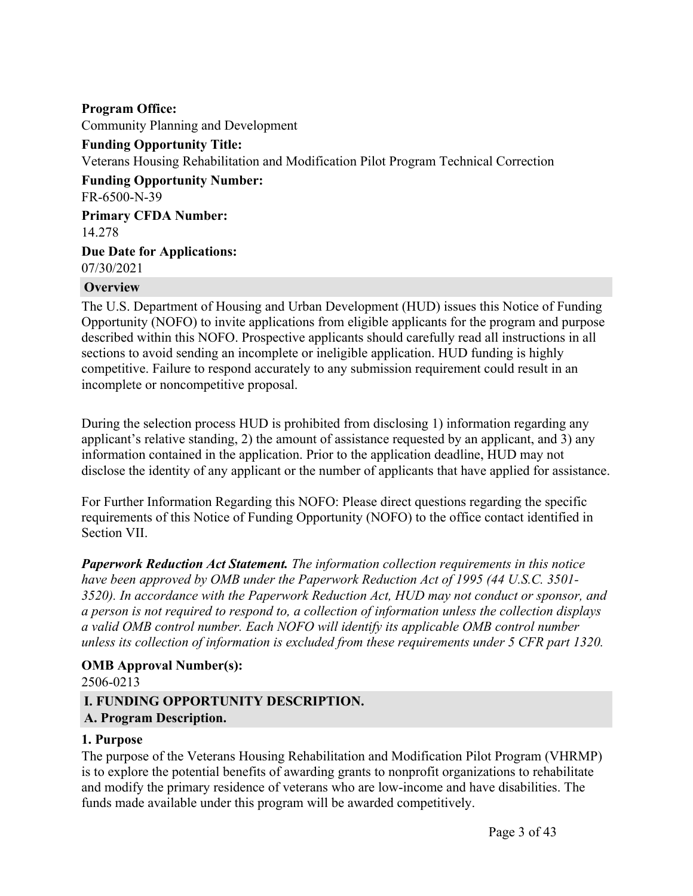**Program Office:** Community Planning and Development **Funding Opportunity Title:** Veterans Housing Rehabilitation and Modification Pilot Program Technical Correction **Funding Opportunity Number:** FR-6500-N-39 **Primary CFDA Number:** 14.278 **Due Date for Applications:**

07/30/2021

#### <span id="page-3-0"></span>**Overview**

The U.S. Department of Housing and Urban Development (HUD) issues this Notice of Funding Opportunity (NOFO) to invite applications from eligible applicants for the program and purpose described within this NOFO. Prospective applicants should carefully read all instructions in all sections to avoid sending an incomplete or ineligible application. HUD funding is highly competitive. Failure to respond accurately to any submission requirement could result in an incomplete or noncompetitive proposal.

During the selection process HUD is prohibited from disclosing 1) information regarding any applicant's relative standing, 2) the amount of assistance requested by an applicant, and 3) any information contained in the application. Prior to the application deadline, HUD may not disclose the identity of any applicant or the number of applicants that have applied for assistance.

For Further Information Regarding this NOFO: Please direct questions regarding the specific requirements of this Notice of Funding Opportunity (NOFO) to the office contact identified in Section VII.

*Paperwork Reduction Act Statement. The information collection requirements in this notice have been approved by OMB under the Paperwork Reduction Act of 1995 (44 U.S.C. 3501- 3520). In accordance with the Paperwork Reduction Act, HUD may not conduct or sponsor, and a person is not required to respond to, a collection of information unless the collection displays a valid OMB control number. Each NOFO will identify its applicable OMB control number unless its collection of information is excluded from these requirements under 5 CFR part 1320.*

#### **OMB Approval Number(s):**

#### 2506-0213

# <span id="page-3-1"></span>**I. FUNDING OPPORTUNITY DESCRIPTION.**

#### <span id="page-3-2"></span>**A. Program Description.**

#### **1. Purpose**

The purpose of the Veterans Housing Rehabilitation and Modification Pilot Program (VHRMP) is to explore the potential benefits of awarding grants to nonprofit organizations to rehabilitate and modify the primary residence of veterans who are low-income and have disabilities. The funds made available under this program will be awarded competitively.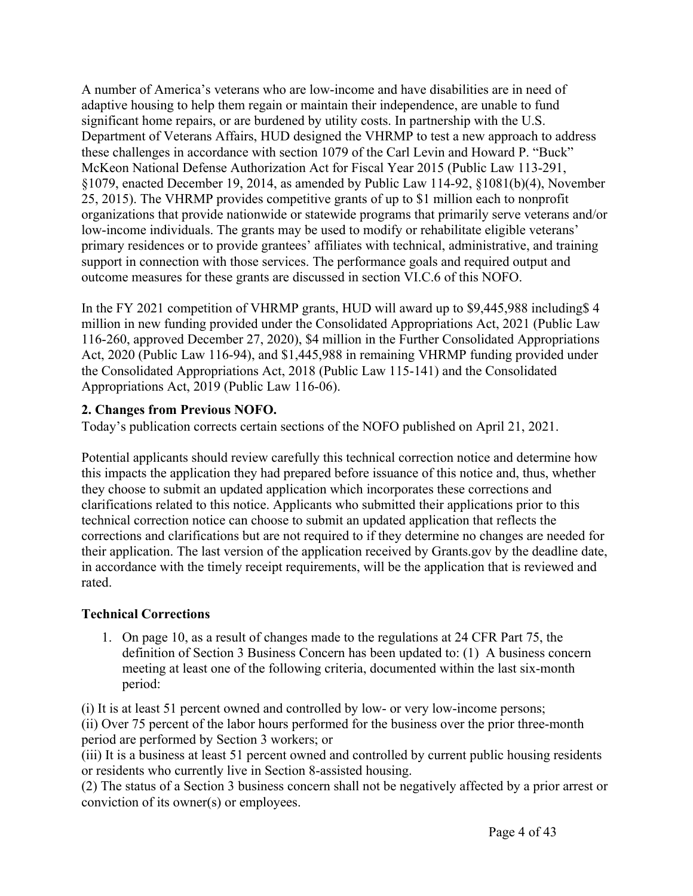A number of America's veterans who are low-income and have disabilities are in need of adaptive housing to help them regain or maintain their independence, are unable to fund significant home repairs, or are burdened by utility costs. In partnership with the U.S. Department of Veterans Affairs, HUD designed the VHRMP to test a new approach to address these challenges in accordance with section 1079 of the Carl Levin and Howard P. "Buck" McKeon National Defense Authorization Act for Fiscal Year 2015 (Public Law 113-291, §1079, enacted December 19, 2014, as amended by Public Law 114-92, §1081(b)(4), November 25, 2015). The VHRMP provides competitive grants of up to \$1 million each to nonprofit organizations that provide nationwide or statewide programs that primarily serve veterans and/or low-income individuals. The grants may be used to modify or rehabilitate eligible veterans' primary residences or to provide grantees' affiliates with technical, administrative, and training support in connection with those services. The performance goals and required output and outcome measures for these grants are discussed in section VI.C.6 of this NOFO.

In the FY 2021 competition of VHRMP grants, HUD will award up to \$9,445,988 including\$ 4 million in new funding provided under the Consolidated Appropriations Act, 2021 (Public Law 116-260, approved December 27, 2020), \$4 million in the Further Consolidated Appropriations Act, 2020 (Public Law 116-94), and \$1,445,988 in remaining VHRMP funding provided under the Consolidated Appropriations Act, 2018 (Public Law 115-141) and the Consolidated Appropriations Act, 2019 (Public Law 116-06).

# **2. Changes from Previous NOFO.**

Today's publication corrects certain sections of the NOFO published on April 21, 2021.

Potential applicants should review carefully this technical correction notice and determine how this impacts the application they had prepared before issuance of this notice and, thus, whether they choose to submit an updated application which incorporates these corrections and clarifications related to this notice. Applicants who submitted their applications prior to this technical correction notice can choose to submit an updated application that reflects the corrections and clarifications but are not required to if they determine no changes are needed for their application. The last version of the application received by Grants.gov by the deadline date, in accordance with the timely receipt requirements, will be the application that is reviewed and rated.

# **Technical Corrections**

1. On page 10, as a result of changes made to the regulations at 24 CFR Part 75, the definition of Section 3 Business Concern has been updated to: (1) A business concern meeting at least one of the following criteria, documented within the last six-month period:

(i) It is at least 51 percent owned and controlled by low- or very low-income persons; (ii) Over 75 percent of the labor hours performed for the business over the prior three-month period are performed by Section 3 workers; or

(iii) It is a business at least 51 percent owned and controlled by current public housing residents or residents who currently live in Section 8-assisted housing.

(2) The status of a Section 3 business concern shall not be negatively affected by a prior arrest or conviction of its owner(s) or employees.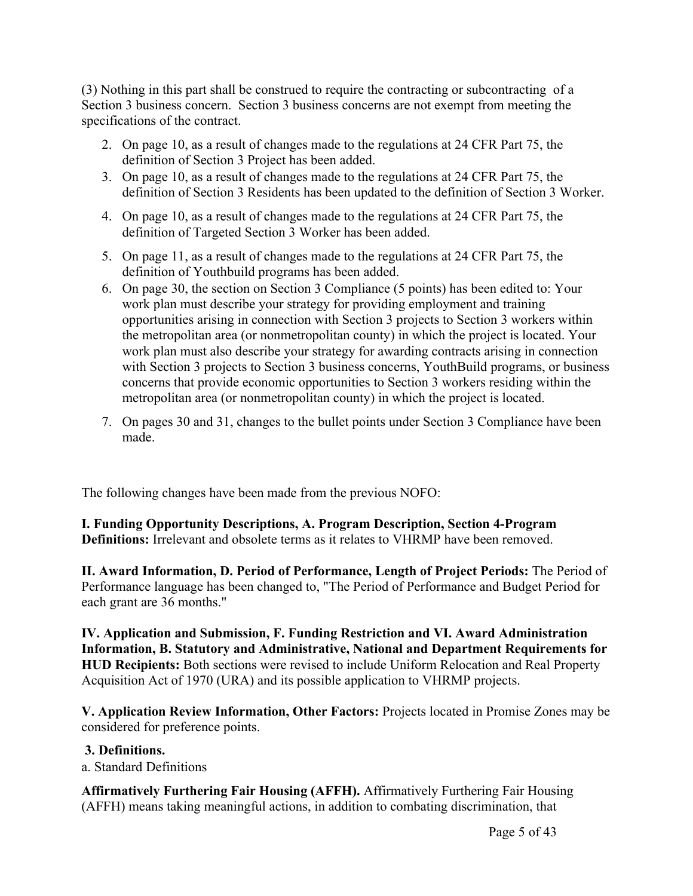(3) Nothing in this part shall be construed to require the contracting or subcontracting of a Section 3 business concern. Section 3 business concerns are not exempt from meeting the specifications of the contract.

- 2. On page 10, as a result of changes made to the regulations at 24 CFR Part 75, the definition of Section 3 Project has been added.
- 3. On page 10, as a result of changes made to the regulations at 24 CFR Part 75, the definition of Section 3 Residents has been updated to the definition of Section 3 Worker.
- 4. On page 10, as a result of changes made to the regulations at 24 CFR Part 75, the definition of Targeted Section 3 Worker has been added.
- 5. On page 11, as a result of changes made to the regulations at 24 CFR Part 75, the definition of Youthbuild programs has been added.
- 6. On page 30, the section on Section 3 Compliance (5 points) has been edited to: Your work plan must describe your strategy for providing employment and training opportunities arising in connection with Section 3 projects to Section 3 workers within the metropolitan area (or nonmetropolitan county) in which the project is located. Your work plan must also describe your strategy for awarding contracts arising in connection with Section 3 projects to Section 3 business concerns, YouthBuild programs, or business concerns that provide economic opportunities to Section 3 workers residing within the metropolitan area (or nonmetropolitan county) in which the project is located.
- 7. On pages 30 and 31, changes to the bullet points under Section 3 Compliance have been made.

The following changes have been made from the previous NOFO:

**I. Funding Opportunity Descriptions, A. Program Description, Section 4-Program Definitions:** Irrelevant and obsolete terms as it relates to VHRMP have been removed.

**II. Award Information, D. Period of Performance, Length of Project Periods:** The Period of Performance language has been changed to, "The Period of Performance and Budget Period for each grant are 36 months."

**IV. Application and Submission, F. Funding Restriction and VI. Award Administration Information, B. Statutory and Administrative, National and Department Requirements for HUD Recipients:** Both sections were revised to include Uniform Relocation and Real Property Acquisition Act of 1970 (URA) and its possible application to VHRMP projects.

**V. Application Review Information, Other Factors:** Projects located in Promise Zones may be considered for preference points.

#### **3. Definitions.**

a. Standard Definitions

**Affirmatively Furthering Fair Housing (AFFH).** Affirmatively Furthering Fair Housing (AFFH) means taking meaningful actions, in addition to combating discrimination, that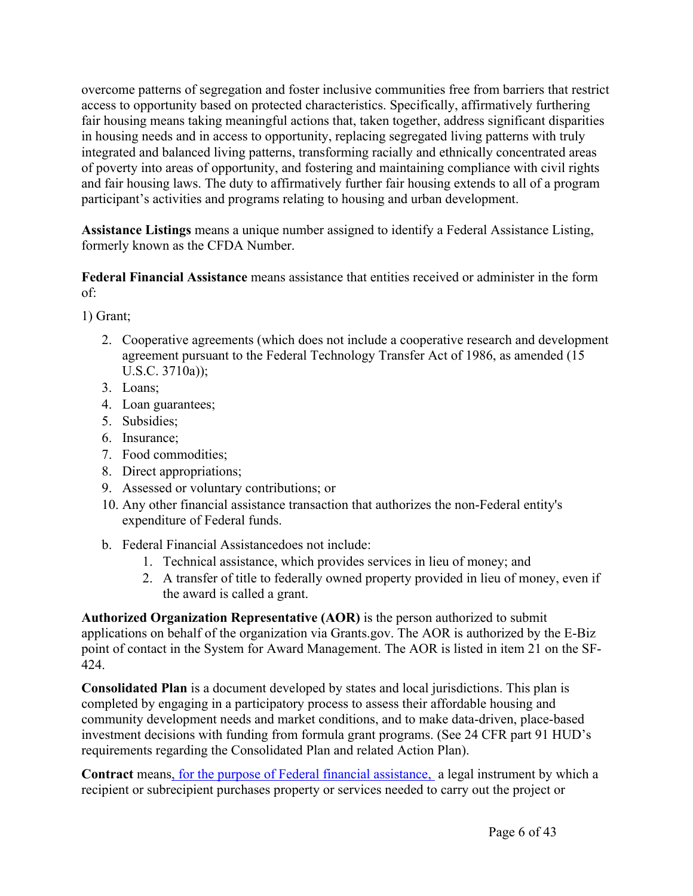overcome patterns of segregation and foster inclusive communities free from barriers that restrict access to opportunity based on protected characteristics. Specifically, affirmatively furthering fair housing means taking meaningful actions that, taken together, address significant disparities in housing needs and in access to opportunity, replacing segregated living patterns with truly integrated and balanced living patterns, transforming racially and ethnically concentrated areas of poverty into areas of opportunity, and fostering and maintaining compliance with civil rights and fair housing laws. The duty to affirmatively further fair housing extends to all of a program participant's activities and programs relating to housing and urban development.

**Assistance Listings** means a unique number assigned to identify a Federal Assistance Listing, formerly known as the CFDA Number.

**Federal Financial Assistance** means assistance that entities received or administer in the form of:

1) Grant;

- 2. Cooperative agreements (which does not include a cooperative research and development agreement pursuant to the Federal Technology Transfer Act of 1986, as amended (15 U.S.C. 3710a));
- 3. Loans;
- 4. Loan guarantees;
- 5. Subsidies;
- 6. Insurance;
- 7. Food commodities;
- 8. Direct appropriations;
- 9. Assessed or voluntary contributions; or
- 10. Any other financial assistance transaction that authorizes the non-Federal entity's expenditure of Federal funds.
- b. Federal Financial Assistancedoes not include:
	- 1. Technical assistance, which provides services in lieu of money; and
	- 2. A transfer of title to federally owned property provided in lieu of money, even if the award is called a grant.

**Authorized Organization Representative (AOR)** is the person authorized to submit applications on behalf of the organization via Grants.gov. The AOR is authorized by the E-Biz point of contact in the System for Award Management. The AOR is listed in item 21 on the SF-424.

**Consolidated Plan** is a document developed by states and local jurisdictions. This plan is completed by engaging in a participatory process to assess their affordable housing and community development needs and market conditions, and to make data-driven, place-based investment decisions with funding from formula grant programs. (See 24 CFR part 91 HUD's requirements regarding the Consolidated Plan and related Action Plan).

**Contract** means, for the purpose of Federal financial assistance, a legal instrument by which a recipient or subrecipient purchases property or services needed to carry out the project or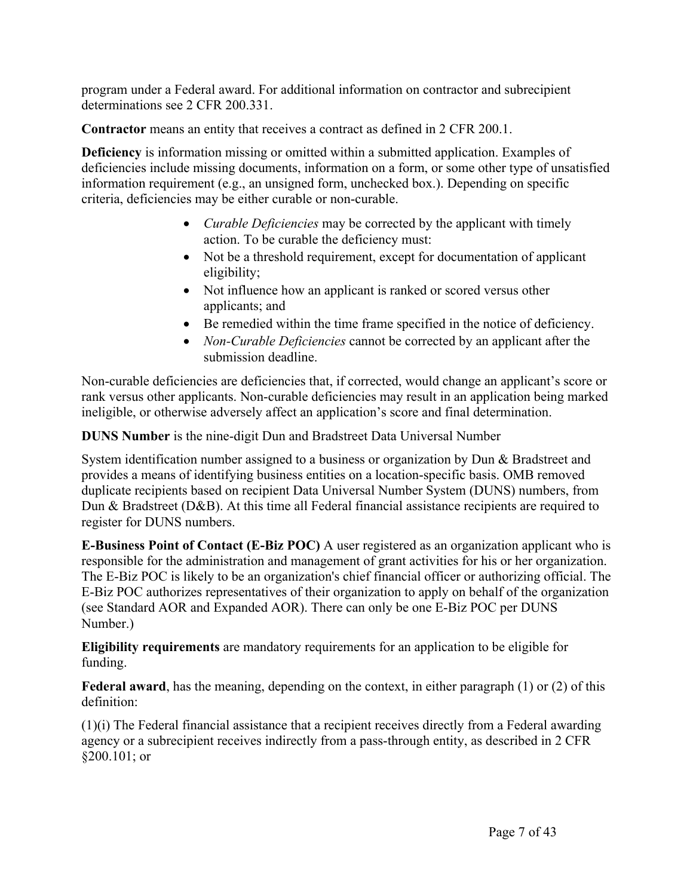program under a Federal award. For additional information on contractor and subrecipient determinations see 2 CFR 200.331.

**Contractor** means an entity that receives a contract as defined in 2 CFR 200.1.

**Deficiency** is information missing or omitted within a submitted application. Examples of deficiencies include missing documents, information on a form, or some other type of unsatisfied information requirement (e.g., an unsigned form, unchecked box.). Depending on specific criteria, deficiencies may be either curable or non-curable.

- *Curable Deficiencies* may be corrected by the applicant with timely action. To be curable the deficiency must:
- Not be a threshold requirement, except for documentation of applicant eligibility;
- Not influence how an applicant is ranked or scored versus other applicants; and
- Be remedied within the time frame specified in the notice of deficiency.
- *Non-Curable Deficiencies* cannot be corrected by an applicant after the submission deadline.

Non-curable deficiencies are deficiencies that, if corrected, would change an applicant's score or rank versus other applicants. Non-curable deficiencies may result in an application being marked ineligible, or otherwise adversely affect an application's score and final determination.

**DUNS Number** is the nine-digit Dun and Bradstreet Data Universal Number

System identification number assigned to a business or organization by Dun & Bradstreet and provides a means of identifying business entities on a location-specific basis. OMB removed duplicate recipients based on recipient Data Universal Number System (DUNS) numbers, from Dun & Bradstreet (D&B). At this time all Federal financial assistance recipients are required to register for DUNS numbers.

**E-Business Point of Contact (E-Biz POC)** A user registered as an organization applicant who is responsible for the administration and management of grant activities for his or her organization. The E-Biz POC is likely to be an organization's chief financial officer or authorizing official. The E-Biz POC authorizes representatives of their organization to apply on behalf of the organization (see Standard AOR and Expanded AOR). There can only be one E-Biz POC per DUNS Number.)

**Eligibility requirements** are mandatory requirements for an application to be eligible for funding.

**Federal award**, has the meaning, depending on the context, in either paragraph (1) or (2) of this definition:

(1)(i) The Federal financial assistance that a recipient receives directly from a Federal awarding agency or a subrecipient receives indirectly from a pass-through entity, as described in 2 CFR §200.101; or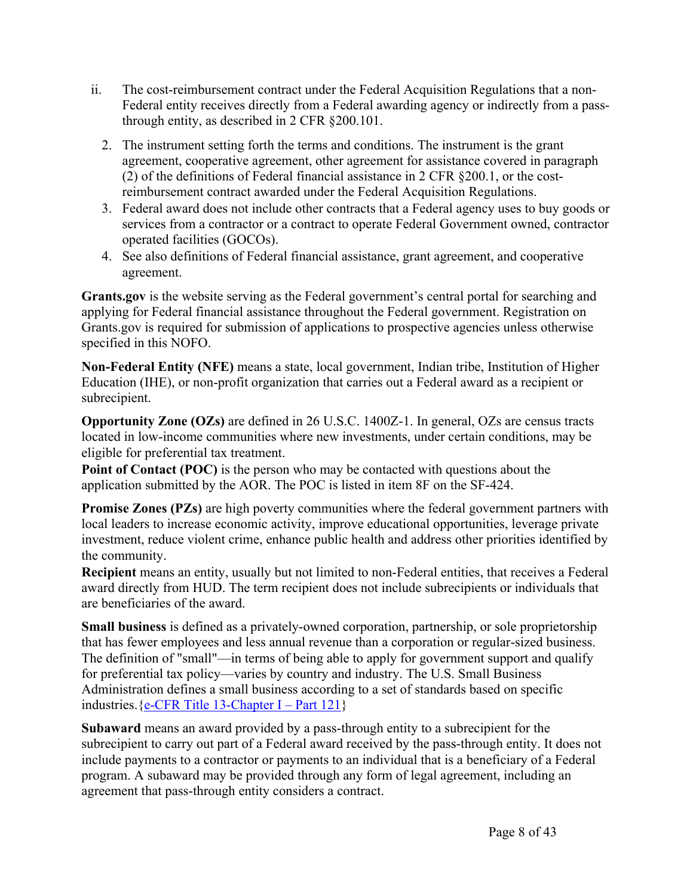- ii. The cost-reimbursement contract under the Federal Acquisition Regulations that a non-Federal entity receives directly from a Federal awarding agency or indirectly from a passthrough entity, as described in 2 CFR §200.101.
	- 2. The instrument setting forth the terms and conditions. The instrument is the grant agreement, cooperative agreement, other agreement for assistance covered in paragraph (2) of the definitions of Federal financial assistance in 2 CFR §200.1, or the costreimbursement contract awarded under the Federal Acquisition Regulations.
	- 3. Federal award does not include other contracts that a Federal agency uses to buy goods or services from a contractor or a contract to operate Federal Government owned, contractor operated facilities (GOCOs).
	- 4. See also definitions of Federal financial assistance, grant agreement, and cooperative agreement.

**Grants.gov** is the website serving as the Federal government's central portal for searching and applying for Federal financial assistance throughout the Federal government. Registration on Grants.gov is required for submission of applications to prospective agencies unless otherwise specified in this NOFO.

**Non-Federal Entity (NFE)** means a state, local government, Indian tribe, Institution of Higher Education (IHE), or non-profit organization that carries out a Federal award as a recipient or subrecipient.

**Opportunity Zone (OZs)** are defined in 26 U.S.C. 1400Z-1. In general, OZs are census tracts located in low-income communities where new investments, under certain conditions, may be eligible for preferential tax treatment.

**Point of Contact (POC)** is the person who may be contacted with questions about the application submitted by the AOR. The POC is listed in item 8F on the SF-424.

**Promise Zones (PZs)** are high poverty communities where the federal government partners with local leaders to increase economic activity, improve educational opportunities, leverage private investment, reduce violent crime, enhance public health and address other priorities identified by the community.

**Recipient** means an entity, usually but not limited to non-Federal entities, that receives a Federal award directly from HUD. The term recipient does not include subrecipients or individuals that are beneficiaries of the award.

**Small business** is defined as a privately-owned corporation, partnership, or sole proprietorship that has fewer employees and less annual revenue than a corporation or regular-sized business. The definition of "small"—in terms of being able to apply for government support and qualify for preferential tax policy—varies by country and industry. The U.S. Small Business Administration defines a small business according to a set of standards based on specific industries.  ${e$ -CFR Title [13-Chapter](https://www.ecfr.gov/cgi-bin/text-idx?SID=0ff5f0839abff4eec707b4478ed733c6&mc=true&node=pt13.1.121&rgn=div5&se13.1.121_1101) I – Part 121}

**Subaward** means an award provided by a pass-through entity to a subrecipient for the subrecipient to carry out part of a Federal award received by the pass-through entity. It does not include payments to a contractor or payments to an individual that is a beneficiary of a Federal program. A subaward may be provided through any form of legal agreement, including an agreement that pass-through entity considers a contract.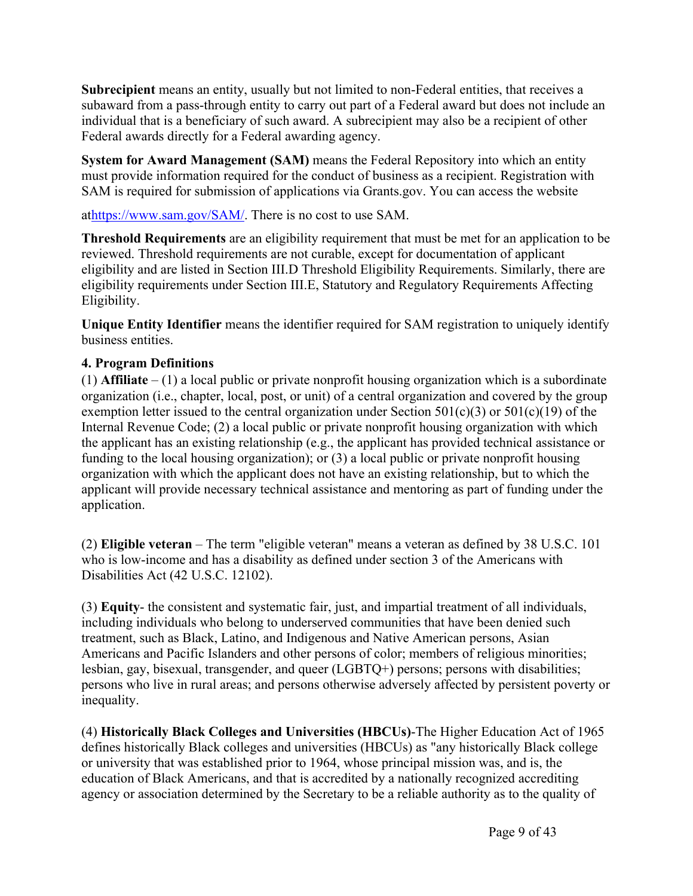**Subrecipient** means an entity, usually but not limited to non-Federal entities, that receives a subaward from a pass-through entity to carry out part of a Federal award but does not include an individual that is a beneficiary of such award. A subrecipient may also be a recipient of other Federal awards directly for a Federal awarding agency.

**System for Award Management (SAM)** means the Federal Repository into which an entity must provide information required for the conduct of business as a recipient. Registration with SAM is required for submission of applications via Grants.gov. You can access the website

at<https://www.sam.gov/SAM/>. There is no cost to use SAM.

**Threshold Requirements** are an eligibility requirement that must be met for an application to be reviewed. Threshold requirements are not curable, except for documentation of applicant eligibility and are listed in Section III.D Threshold Eligibility Requirements. Similarly, there are eligibility requirements under Section III.E, Statutory and Regulatory Requirements Affecting Eligibility.

**Unique Entity Identifier** means the identifier required for SAM registration to uniquely identify business entities.

# **4. Program Definitions**

 $(1)$  **Affiliate** –  $(1)$  a local public or private nonprofit housing organization which is a subordinate organization (i.e., chapter, local, post, or unit) of a central organization and covered by the group exemption letter issued to the central organization under Section  $501(c)(3)$  or  $501(c)(19)$  of the Internal Revenue Code; (2) a local public or private nonprofit housing organization with which the applicant has an existing relationship (e.g., the applicant has provided technical assistance or funding to the local housing organization); or (3) a local public or private nonprofit housing organization with which the applicant does not have an existing relationship, but to which the applicant will provide necessary technical assistance and mentoring as part of funding under the application.

(2) **Eligible veteran** – The term "eligible veteran" means a veteran as defined by 38 U.S.C. 101 who is low-income and has a disability as defined under section 3 of the Americans with Disabilities Act (42 U.S.C. 12102).

(3) **Equity**- the consistent and systematic fair, just, and impartial treatment of all individuals, including individuals who belong to underserved communities that have been denied such treatment, such as Black, Latino, and Indigenous and Native American persons, Asian Americans and Pacific Islanders and other persons of color; members of religious minorities; lesbian, gay, bisexual, transgender, and queer (LGBTQ+) persons; persons with disabilities; persons who live in rural areas; and persons otherwise adversely affected by persistent poverty or inequality.

(4) **Historically Black Colleges and Universities (HBCUs)**-The Higher Education Act of 1965 defines historically Black colleges and universities (HBCUs) as "any historically Black college or university that was established prior to 1964, whose principal mission was, and is, the education of Black Americans, and that is accredited by a nationally recognized accrediting agency or association determined by the Secretary to be a reliable authority as to the quality of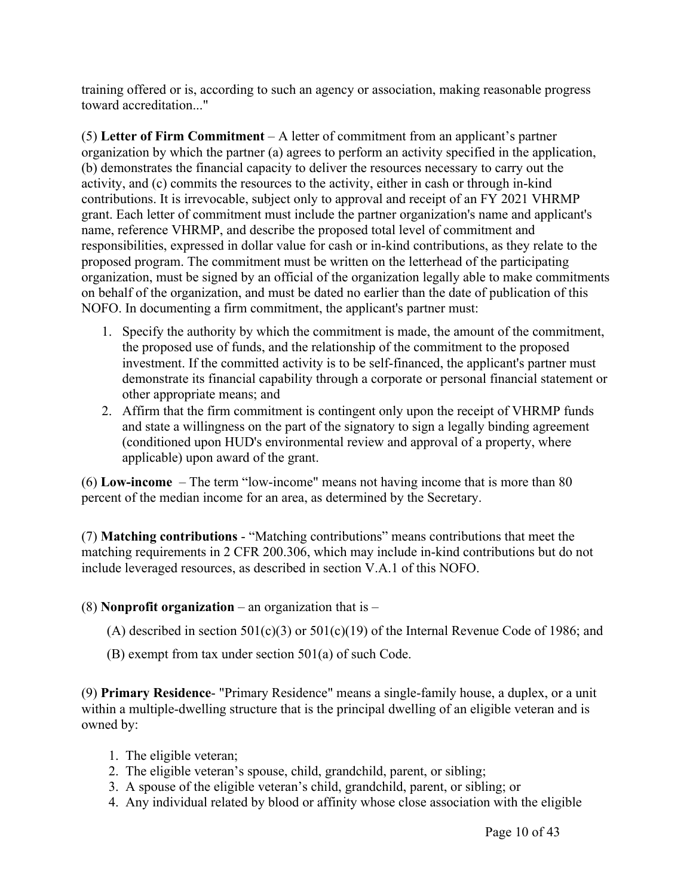training offered or is, according to such an agency or association, making reasonable progress toward accreditation..."

(5) **Letter of Firm Commitment** – A letter of commitment from an applicant's partner organization by which the partner (a) agrees to perform an activity specified in the application, (b) demonstrates the financial capacity to deliver the resources necessary to carry out the activity, and (c) commits the resources to the activity, either in cash or through in-kind contributions. It is irrevocable, subject only to approval and receipt of an FY 2021 VHRMP grant. Each letter of commitment must include the partner organization's name and applicant's name, reference VHRMP, and describe the proposed total level of commitment and responsibilities, expressed in dollar value for cash or in-kind contributions, as they relate to the proposed program. The commitment must be written on the letterhead of the participating organization, must be signed by an official of the organization legally able to make commitments on behalf of the organization, and must be dated no earlier than the date of publication of this NOFO. In documenting a firm commitment, the applicant's partner must:

- 1. Specify the authority by which the commitment is made, the amount of the commitment, the proposed use of funds, and the relationship of the commitment to the proposed investment. If the committed activity is to be self-financed, the applicant's partner must demonstrate its financial capability through a corporate or personal financial statement or other appropriate means; and
- 2. Affirm that the firm commitment is contingent only upon the receipt of VHRMP funds and state a willingness on the part of the signatory to sign a legally binding agreement (conditioned upon HUD's environmental review and approval of a property, where applicable) upon award of the grant.

(6) **Low-income** – The term "low-income" means not having income that is more than 80 percent of the median income for an area, as determined by the Secretary.

(7) **Matching contributions** - "Matching contributions" means contributions that meet the matching requirements in 2 CFR 200.306, which may include in-kind contributions but do not include leveraged resources, as described in section V.A.1 of this NOFO.

#### (8) **Nonprofit organization** – an organization that is –

- (A) described in section  $501(c)(3)$  or  $501(c)(19)$  of the Internal Revenue Code of 1986; and
- (B) exempt from tax under section 501(a) of such Code.

(9) **Primary Residence**- "Primary Residence" means a single-family house, a duplex, or a unit within a multiple-dwelling structure that is the principal dwelling of an eligible veteran and is owned by:

- 1. The eligible veteran;
- 2. The eligible veteran's spouse, child, grandchild, parent, or sibling;
- 3. A spouse of the eligible veteran's child, grandchild, parent, or sibling; or
- 4. Any individual related by blood or affinity whose close association with the eligible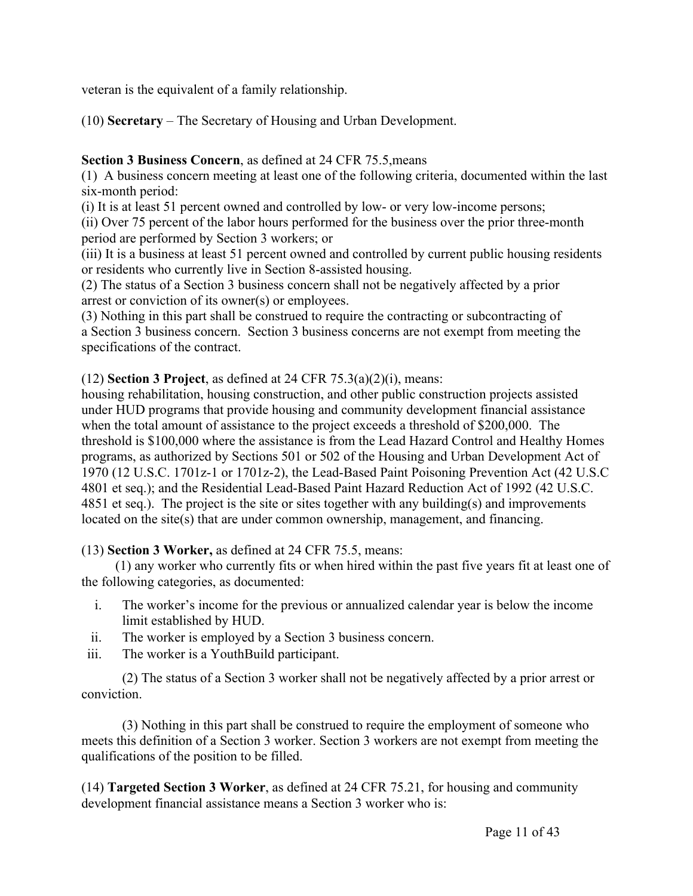veteran is the equivalent of a family relationship.

(10) **Secretary** – The Secretary of Housing and Urban Development.

# **Section 3 Business Concern**, as defined at 24 CFR 75.5,means

(1) A business concern meeting at least one of the following criteria, documented within the last six-month period:

(i) It is at least 51 percent owned and controlled by low- or very low-income persons;

(ii) Over 75 percent of the labor hours performed for the business over the prior three-month period are performed by Section 3 workers; or

(iii) It is a business at least 51 percent owned and controlled by current public housing residents or residents who currently live in Section 8-assisted housing.

(2) The status of a Section 3 business concern shall not be negatively affected by a prior arrest or conviction of its owner(s) or employees.

(3) Nothing in this part shall be construed to require the contracting or subcontracting of a Section 3 business concern. Section 3 business concerns are not exempt from meeting the specifications of the contract.

# (12) **Section 3 Project**, as defined at 24 CFR 75.3(a)(2)(i), means:

housing rehabilitation, housing construction, and other public construction projects assisted under HUD programs that provide housing and community development financial assistance when the total amount of assistance to the project exceeds a threshold of \$200,000. The threshold is \$100,000 where the assistance is from the Lead Hazard Control and Healthy Homes programs, as authorized by Sections 501 or 502 of the Housing and Urban Development Act of 1970 (12 U.S.C. 1701z-1 or 1701z-2), the Lead-Based Paint Poisoning Prevention Act (42 U.S.C 4801 et seq.); and the Residential Lead-Based Paint Hazard Reduction Act of 1992 (42 U.S.C. 4851 et seq.). The project is the site or sites together with any building(s) and improvements located on the site(s) that are under common ownership, management, and financing.

# (13) **Section 3 Worker,** as defined at 24 CFR 75.5, means:

(1) any worker who currently fits or when hired within the past five years fit at least one of the following categories, as documented:

- i. The worker's income for the previous or annualized calendar year is below the income limit established by HUD.
- ii. The worker is employed by a Section 3 business concern.
- iii. The worker is a YouthBuild participant.

(2) The status of a Section 3 worker shall not be negatively affected by a prior arrest or conviction.

(3) Nothing in this part shall be construed to require the employment of someone who meets this definition of a Section 3 worker. Section 3 workers are not exempt from meeting the qualifications of the position to be filled.

(14) **Targeted Section 3 Worker**, as defined at 24 CFR 75.21, for housing and community development financial assistance means a Section 3 worker who is: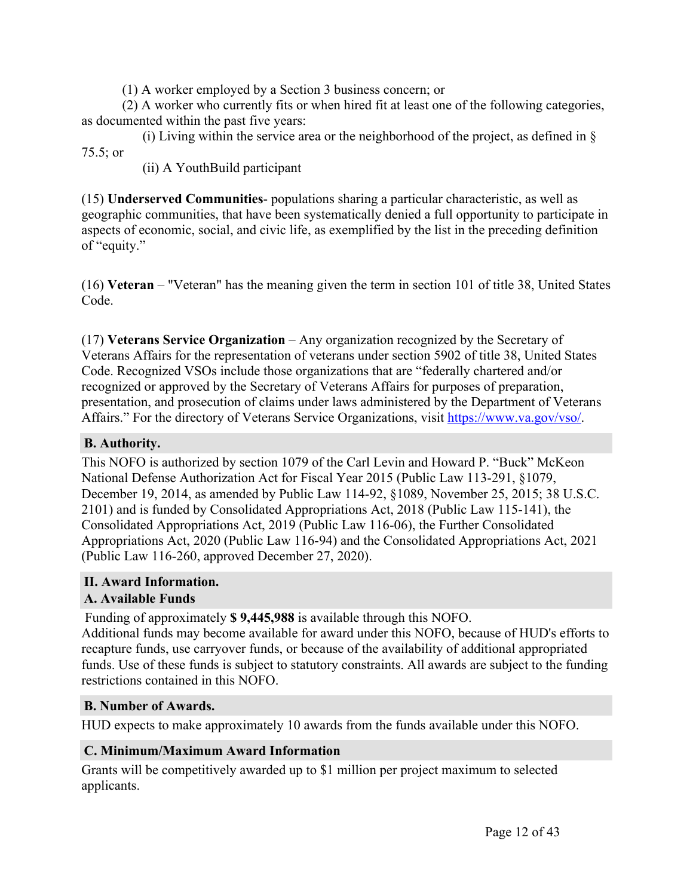(1) A worker employed by a Section 3 business concern; or

(2) A worker who currently fits or when hired fit at least one of the following categories, as documented within the past five years:

(i) Living within the service area or the neighborhood of the project, as defined in  $\S$ 75.5; or

(ii) A YouthBuild participant

(15) **Underserved Communities**- populations sharing a particular characteristic, as well as geographic communities, that have been systematically denied a full opportunity to participate in aspects of economic, social, and civic life, as exemplified by the list in the preceding definition of "equity."

(16) **Veteran** – "Veteran" has the meaning given the term in section 101 of title 38, United States Code.

(17) **Veterans Service Organization** – Any organization recognized by the Secretary of Veterans Affairs for the representation of veterans under section 5902 of title 38, United States Code. Recognized VSOs include those organizations that are "federally chartered and/or recognized or approved by the Secretary of Veterans Affairs for purposes of preparation, presentation, and prosecution of claims under laws administered by the Department of Veterans Affairs." For the directory of Veterans Service Organizations, visit [https://www.va.gov/vso/.](https://www.va.gov/vso/)

# <span id="page-12-0"></span>**B. Authority.**

This NOFO is authorized by section 1079 of the Carl Levin and Howard P. "Buck" McKeon National Defense Authorization Act for Fiscal Year 2015 (Public Law 113-291, §1079, December 19, 2014, as amended by Public Law 114-92, §1089, November 25, 2015; 38 U.S.C. 2101) and is funded by Consolidated Appropriations Act, 2018 (Public Law 115-141), the Consolidated Appropriations Act, 2019 (Public Law 116-06), the Further Consolidated Appropriations Act, 2020 (Public Law 116-94) and the Consolidated Appropriations Act, 2021 (Public Law 116-260, approved December 27, 2020).

# <span id="page-12-1"></span>**II. Award Information.**

# <span id="page-12-2"></span>**A. Available Funds**

Funding of approximately **\$ 9,445,988** is available through this NOFO.

Additional funds may become available for award under this NOFO, because of HUD's efforts to recapture funds, use carryover funds, or because of the availability of additional appropriated funds. Use of these funds is subject to statutory constraints. All awards are subject to the funding restrictions contained in this NOFO.

# <span id="page-12-3"></span>**B. Number of Awards.**

HUD expects to make approximately 10 awards from the funds available under this NOFO.

# <span id="page-12-4"></span>**C. Minimum/Maximum Award Information**

Grants will be competitively awarded up to \$1 million per project maximum to selected applicants.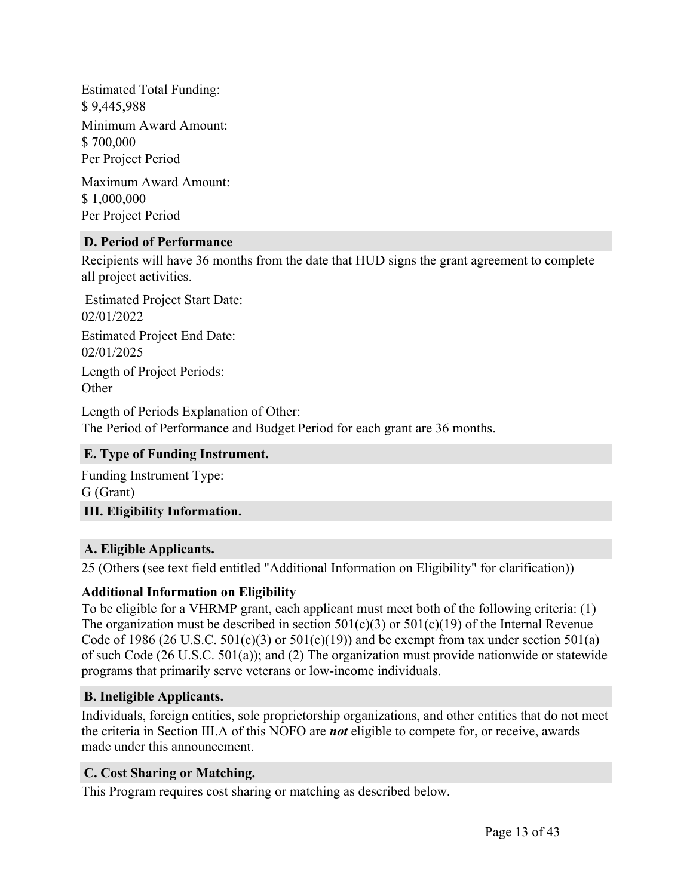Estimated Total Funding: \$ 9,445,988 Minimum Award Amount: \$ 700,000 Per Project Period

Maximum Award Amount: \$ 1,000,000 Per Project Period

#### <span id="page-13-0"></span>**D. Period of Performance**

Recipients will have 36 months from the date that HUD signs the grant agreement to complete all project activities.

Estimated Project Start Date: 02/01/2022 Estimated Project End Date: 02/01/2025 Length of Project Periods: **Other** 

Length of Periods Explanation of Other: The Period of Performance and Budget Period for each grant are 36 months.

#### <span id="page-13-1"></span>**E. Type of Funding Instrument.**

<span id="page-13-2"></span>Funding Instrument Type: G (Grant) **III. Eligibility Information.**

#### <span id="page-13-3"></span>**A. Eligible Applicants.**

25 (Others (see text field entitled "Additional Information on Eligibility" for clarification))

#### **Additional Information on Eligibility**

To be eligible for a VHRMP grant, each applicant must meet both of the following criteria: (1) The organization must be described in section  $501(c)(3)$  or  $501(c)(19)$  of the Internal Revenue Code of 1986 (26 U.S.C.  $501(c)(3)$  or  $501(c)(19)$ ) and be exempt from tax under section  $501(a)$ of such Code (26 U.S.C. 501(a)); and (2) The organization must provide nationwide or statewide programs that primarily serve veterans or low-income individuals.

#### <span id="page-13-4"></span>**B. Ineligible Applicants.**

Individuals, foreign entities, sole proprietorship organizations, and other entities that do not meet the criteria in Section III.A of this NOFO are *not* eligible to compete for, or receive, awards made under this announcement.

# <span id="page-13-5"></span>**C. Cost Sharing or Matching.**

This Program requires cost sharing or matching as described below.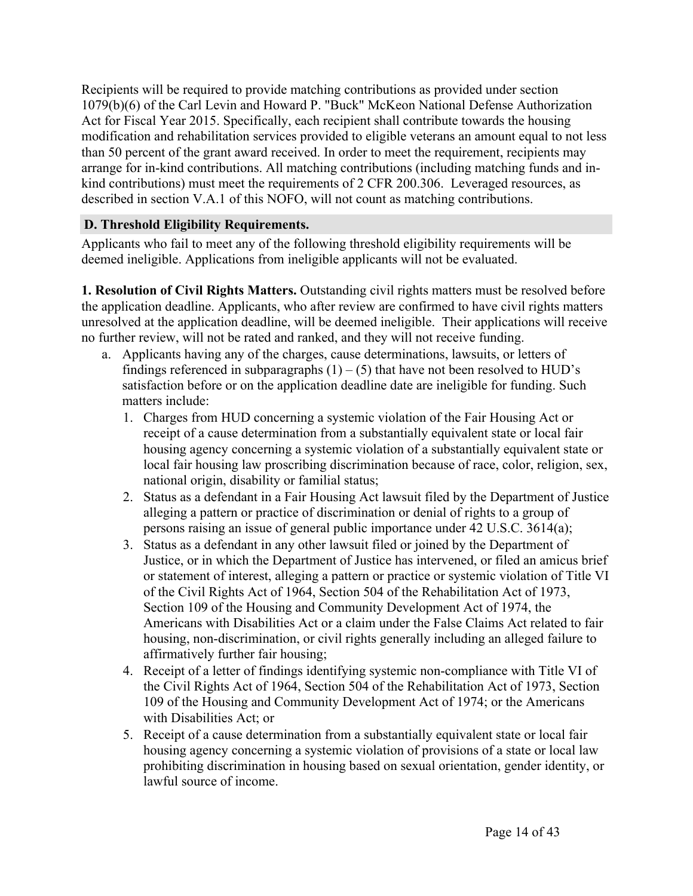Recipients will be required to provide matching contributions as provided under section 1079(b)(6) of the Carl Levin and Howard P. "Buck" McKeon National Defense Authorization Act for Fiscal Year 2015. Specifically, each recipient shall contribute towards the housing modification and rehabilitation services provided to eligible veterans an amount equal to not less than 50 percent of the grant award received. In order to meet the requirement, recipients may arrange for in-kind contributions. All matching contributions (including matching funds and inkind contributions) must meet the requirements of 2 CFR 200.306. Leveraged resources, as described in section V.A.1 of this NOFO, will not count as matching contributions.

# <span id="page-14-0"></span>**D. Threshold Eligibility Requirements.**

Applicants who fail to meet any of the following threshold eligibility requirements will be deemed ineligible. Applications from ineligible applicants will not be evaluated.

**1. Resolution of Civil Rights Matters.** Outstanding civil rights matters must be resolved before the application deadline. Applicants, who after review are confirmed to have civil rights matters unresolved at the application deadline, will be deemed ineligible. Their applications will receive no further review, will not be rated and ranked, and they will not receive funding.

- a. Applicants having any of the charges, cause determinations, lawsuits, or letters of findings referenced in subparagraphs  $(1) - (5)$  that have not been resolved to HUD's satisfaction before or on the application deadline date are ineligible for funding. Such matters include:
	- 1. Charges from HUD concerning a systemic violation of the Fair Housing Act or receipt of a cause determination from a substantially equivalent state or local fair housing agency concerning a systemic violation of a substantially equivalent state or local fair housing law proscribing discrimination because of race, color, religion, sex, national origin, disability or familial status;
	- 2. Status as a defendant in a Fair Housing Act lawsuit filed by the Department of Justice alleging a pattern or practice of discrimination or denial of rights to a group of persons raising an issue of general public importance under 42 U.S.C. 3614(a);
	- 3. Status as a defendant in any other lawsuit filed or joined by the Department of Justice, or in which the Department of Justice has intervened, or filed an amicus brief or statement of interest, alleging a pattern or practice or systemic violation of Title VI of the Civil Rights Act of 1964, Section 504 of the Rehabilitation Act of 1973, Section 109 of the Housing and Community Development Act of 1974, the Americans with Disabilities Act or a claim under the False Claims Act related to fair housing, non-discrimination, or civil rights generally including an alleged failure to affirmatively further fair housing;
	- 4. Receipt of a letter of findings identifying systemic non-compliance with Title VI of the Civil Rights Act of 1964, Section 504 of the Rehabilitation Act of 1973, Section 109 of the Housing and Community Development Act of 1974; or the Americans with Disabilities Act; or
	- 5. Receipt of a cause determination from a substantially equivalent state or local fair housing agency concerning a systemic violation of provisions of a state or local law prohibiting discrimination in housing based on sexual orientation, gender identity, or lawful source of income.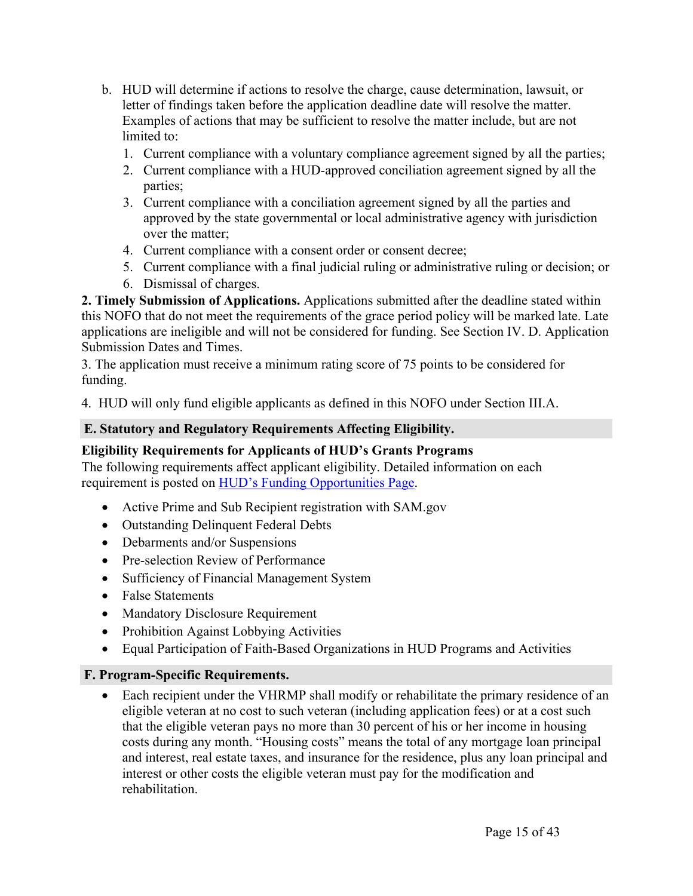- b. HUD will determine if actions to resolve the charge, cause determination, lawsuit, or letter of findings taken before the application deadline date will resolve the matter. Examples of actions that may be sufficient to resolve the matter include, but are not limited to:
	- 1. Current compliance with a voluntary compliance agreement signed by all the parties;
	- 2. Current compliance with a HUD-approved conciliation agreement signed by all the parties;
	- 3. Current compliance with a conciliation agreement signed by all the parties and approved by the state governmental or local administrative agency with jurisdiction over the matter;
	- 4. Current compliance with a consent order or consent decree;
	- 5. Current compliance with a final judicial ruling or administrative ruling or decision; or
	- 6. Dismissal of charges.

**2. Timely Submission of Applications.** Applications submitted after the deadline stated within this NOFO that do not meet the requirements of the grace period policy will be marked late. Late applications are ineligible and will not be considered for funding. See Section IV. D. Application Submission Dates and Times.

3. The application must receive a minimum rating score of 75 points to be considered for funding.

4. HUD will only fund eligible applicants as defined in this NOFO under Section III.A.

# <span id="page-15-0"></span>**E. Statutory and Regulatory Requirements Affecting Eligibility.**

# **Eligibility Requirements for Applicants of HUD's Grants Programs**

The following requirements affect applicant eligibility. Detailed information on each requirement is posted on HUD's Funding [Opportunities](https://www.hud.gov/program_offices/spm/gmomgmt/grantsinfo/fundingopps) Page.

- Active Prime and Sub Recipient registration with SAM.gov
- Outstanding Delinquent Federal Debts
- Debarments and/or Suspensions
- Pre-selection Review of Performance
- Sufficiency of Financial Management System
- False Statements
- Mandatory Disclosure Requirement
- Prohibition Against Lobbying Activities
- Equal Participation of Faith-Based Organizations in HUD Programs and Activities

# <span id="page-15-1"></span>**F. Program-Specific Requirements.**

 Each recipient under the VHRMP shall modify or rehabilitate the primary residence of an eligible veteran at no cost to such veteran (including application fees) or at a cost such that the eligible veteran pays no more than 30 percent of his or her income in housing costs during any month. "Housing costs" means the total of any mortgage loan principal and interest, real estate taxes, and insurance for the residence, plus any loan principal and interest or other costs the eligible veteran must pay for the modification and rehabilitation.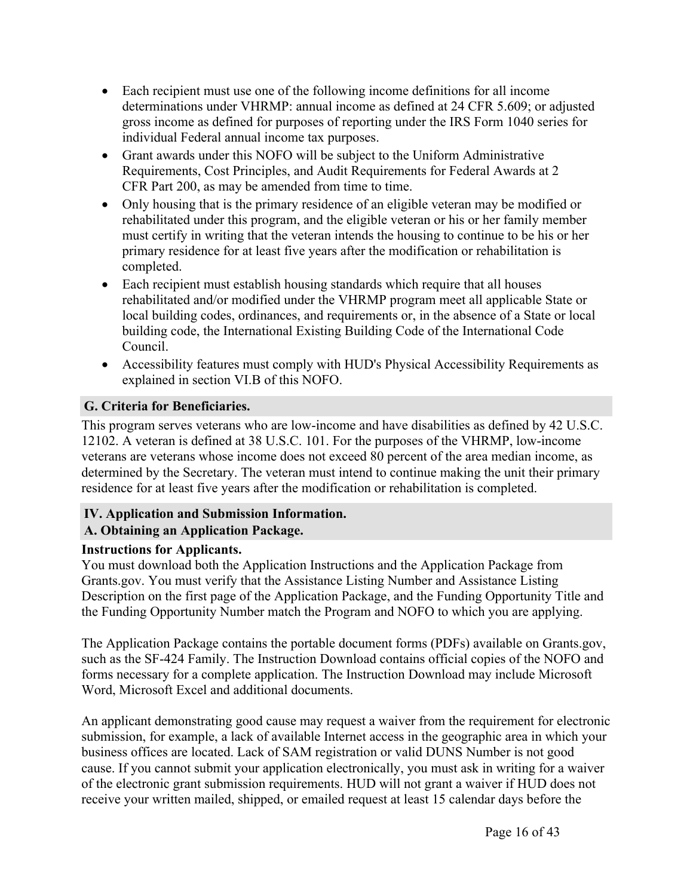- Each recipient must use one of the following income definitions for all income determinations under VHRMP: annual income as defined at 24 CFR 5.609; or adjusted gross income as defined for purposes of reporting under the IRS Form 1040 series for individual Federal annual income tax purposes.
- Grant awards under this NOFO will be subject to the Uniform Administrative Requirements, Cost Principles, and Audit Requirements for Federal Awards at 2 CFR Part 200, as may be amended from time to time.
- Only housing that is the primary residence of an eligible veteran may be modified or rehabilitated under this program, and the eligible veteran or his or her family member must certify in writing that the veteran intends the housing to continue to be his or her primary residence for at least five years after the modification or rehabilitation is completed.
- Each recipient must establish housing standards which require that all houses rehabilitated and/or modified under the VHRMP program meet all applicable State or local building codes, ordinances, and requirements or, in the absence of a State or local building code, the International Existing Building Code of the International Code Council.
- Accessibility features must comply with HUD's Physical Accessibility Requirements as explained in section VI.B of this NOFO.

# <span id="page-16-0"></span>**G. Criteria for Beneficiaries.**

This program serves veterans who are low-income and have disabilities as defined by 42 U.S.C. 12102. A veteran is defined at 38 U.S.C. 101. For the purposes of the VHRMP, low-income veterans are veterans whose income does not exceed 80 percent of the area median income, as determined by the Secretary. The veteran must intend to continue making the unit their primary residence for at least five years after the modification or rehabilitation is completed.

# <span id="page-16-1"></span>**IV. Application and Submission Information.**

# <span id="page-16-2"></span>**A. Obtaining an Application Package.**

# **Instructions for Applicants.**

You must download both the Application Instructions and the Application Package from Grants.gov. You must verify that the Assistance Listing Number and Assistance Listing Description on the first page of the Application Package, and the Funding Opportunity Title and the Funding Opportunity Number match the Program and NOFO to which you are applying.

The Application Package contains the portable document forms (PDFs) available on Grants.gov, such as the SF-424 Family. The Instruction Download contains official copies of the NOFO and forms necessary for a complete application. The Instruction Download may include Microsoft Word, Microsoft Excel and additional documents.

An applicant demonstrating good cause may request a waiver from the requirement for electronic submission, for example, a lack of available Internet access in the geographic area in which your business offices are located. Lack of SAM registration or valid DUNS Number is not good cause. If you cannot submit your application electronically, you must ask in writing for a waiver of the electronic grant submission requirements. HUD will not grant a waiver if HUD does not receive your written mailed, shipped, or emailed request at least 15 calendar days before the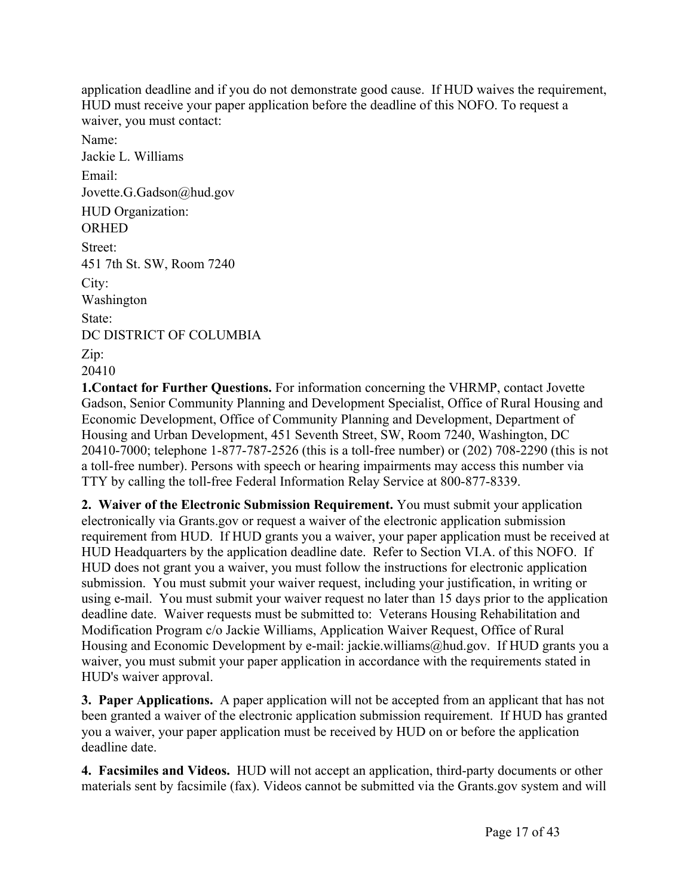application deadline and if you do not demonstrate good cause. If HUD waives the requirement, HUD must receive your paper application before the deadline of this NOFO. To request a waiver, you must contact:

Name: Jackie L. Williams Email: Jovette.G.Gadson@hud.gov HUD Organization: **ORHED** Street: 451 7th St. SW, Room 7240 City: Washington State: DC DISTRICT OF COLUMBIA Zip: 20410

**1.Contact for Further Questions.** For information concerning the VHRMP, contact Jovette Gadson, Senior Community Planning and Development Specialist, Office of Rural Housing and Economic Development, Office of Community Planning and Development, Department of Housing and Urban Development, 451 Seventh Street, SW, Room 7240, Washington, DC 20410-7000; telephone 1-877-787-2526 (this is a toll-free number) or (202) 708-2290 (this is not a toll-free number). Persons with speech or hearing impairments may access this number via TTY by calling the toll-free Federal Information Relay Service at 800-877-8339.

**2. Waiver of the Electronic Submission Requirement.** You must submit your application electronically via Grants.gov or request a waiver of the electronic application submission requirement from HUD. If HUD grants you a waiver, your paper application must be received at HUD Headquarters by the application deadline date. Refer to Section VI.A. of this NOFO. If HUD does not grant you a waiver, you must follow the instructions for electronic application submission. You must submit your waiver request, including your justification, in writing or using e-mail. You must submit your waiver request no later than 15 days prior to the application deadline date. Waiver requests must be submitted to: Veterans Housing Rehabilitation and Modification Program c/o Jackie Williams, Application Waiver Request, Office of Rural Housing and Economic Development by e-mail: jackie.williams@hud.gov. If HUD grants you a waiver, you must submit your paper application in accordance with the requirements stated in HUD's waiver approval.

**3. Paper Applications.** A paper application will not be accepted from an applicant that has not been granted a waiver of the electronic application submission requirement. If HUD has granted you a waiver, your paper application must be received by HUD on or before the application deadline date.

**4. Facsimiles and Videos.** HUD will not accept an application, third-party documents or other materials sent by facsimile (fax). Videos cannot be submitted via the Grants.gov system and will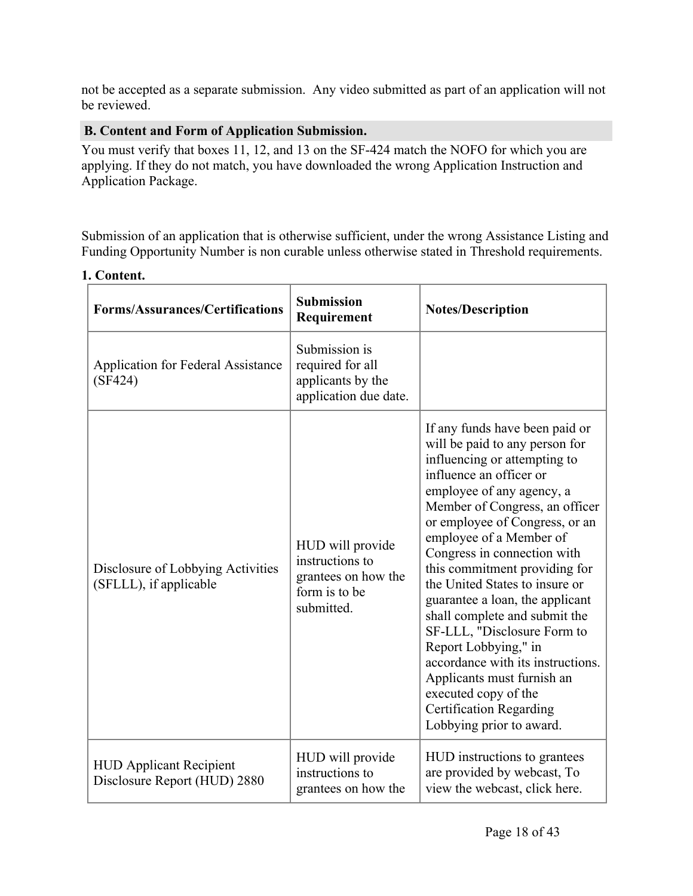not be accepted as a separate submission. Any video submitted as part of an application will not be reviewed.

#### <span id="page-18-0"></span>**B. Content and Form of Application Submission.**

You must verify that boxes 11, 12, and 13 on the SF-424 match the NOFO for which you are applying. If they do not match, you have downloaded the wrong Application Instruction and Application Package.

Submission of an application that is otherwise sufficient, under the wrong Assistance Listing and Funding Opportunity Number is non curable unless otherwise stated in Threshold requirements.

| <b>Forms/Assurances/Certifications</b>                         | <b>Submission</b><br>Requirement                                                          | <b>Notes/Description</b>                                                                                                                                                                                                                                                                                                                                                                                                                                                                                                                                                                                                                      |
|----------------------------------------------------------------|-------------------------------------------------------------------------------------------|-----------------------------------------------------------------------------------------------------------------------------------------------------------------------------------------------------------------------------------------------------------------------------------------------------------------------------------------------------------------------------------------------------------------------------------------------------------------------------------------------------------------------------------------------------------------------------------------------------------------------------------------------|
| <b>Application for Federal Assistance</b><br>(SF424)           | Submission is<br>required for all<br>applicants by the<br>application due date.           |                                                                                                                                                                                                                                                                                                                                                                                                                                                                                                                                                                                                                                               |
| Disclosure of Lobbying Activities<br>(SFLLL), if applicable    | HUD will provide<br>instructions to<br>grantees on how the<br>form is to be<br>submitted. | If any funds have been paid or<br>will be paid to any person for<br>influencing or attempting to<br>influence an officer or<br>employee of any agency, a<br>Member of Congress, an officer<br>or employee of Congress, or an<br>employee of a Member of<br>Congress in connection with<br>this commitment providing for<br>the United States to insure or<br>guarantee a loan, the applicant<br>shall complete and submit the<br>SF-LLL, "Disclosure Form to<br>Report Lobbying," in<br>accordance with its instructions.<br>Applicants must furnish an<br>executed copy of the<br><b>Certification Regarding</b><br>Lobbying prior to award. |
| <b>HUD Applicant Recipient</b><br>Disclosure Report (HUD) 2880 | HUD will provide<br>instructions to<br>grantees on how the                                | HUD instructions to grantees<br>are provided by webcast, To<br>view the webcast, click here.                                                                                                                                                                                                                                                                                                                                                                                                                                                                                                                                                  |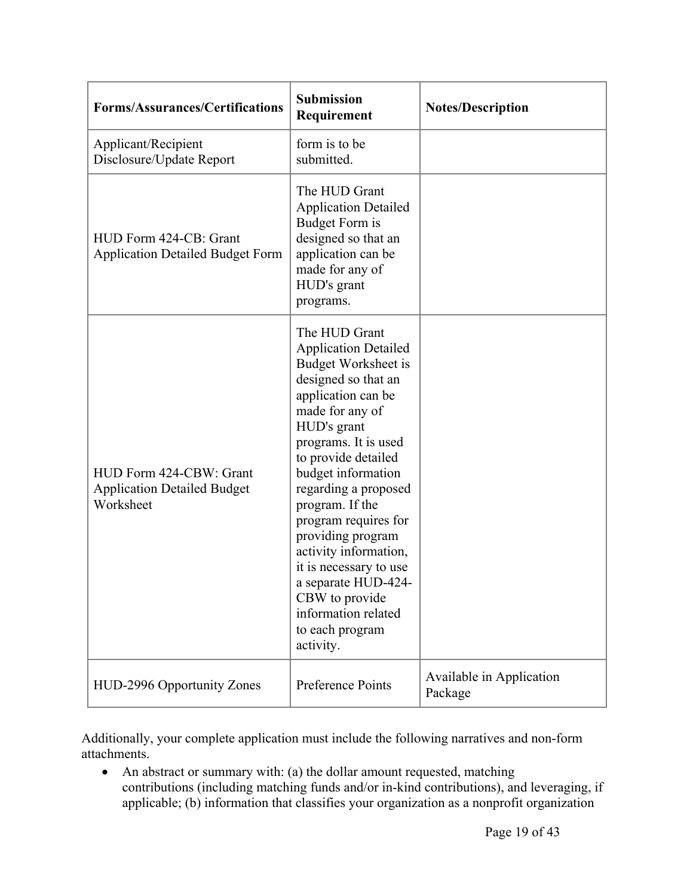| <b>Forms/Assurances/Certifications</b>                                     | <b>Submission</b><br>Requirement                                                                                                                                                                                                                                                                                                                                                                                                                                          | <b>Notes/Description</b>            |
|----------------------------------------------------------------------------|---------------------------------------------------------------------------------------------------------------------------------------------------------------------------------------------------------------------------------------------------------------------------------------------------------------------------------------------------------------------------------------------------------------------------------------------------------------------------|-------------------------------------|
| Applicant/Recipient<br>Disclosure/Update Report                            | form is to be<br>submitted.                                                                                                                                                                                                                                                                                                                                                                                                                                               |                                     |
| HUD Form 424-CB: Grant<br><b>Application Detailed Budget Form</b>          | The HUD Grant<br><b>Application Detailed</b><br><b>Budget Form is</b><br>designed so that an<br>application can be<br>made for any of<br>HUD's grant<br>programs.                                                                                                                                                                                                                                                                                                         |                                     |
| HUD Form 424-CBW: Grant<br><b>Application Detailed Budget</b><br>Worksheet | The HUD Grant<br><b>Application Detailed</b><br><b>Budget Worksheet is</b><br>designed so that an<br>application can be<br>made for any of<br>HUD's grant<br>programs. It is used<br>to provide detailed<br>budget information<br>regarding a proposed<br>program. If the<br>program requires for<br>providing program<br>activity information,<br>it is necessary to use<br>a separate HUD-424-<br>CBW to provide<br>information related<br>to each program<br>activity. |                                     |
| HUD-2996 Opportunity Zones                                                 | Preference Points                                                                                                                                                                                                                                                                                                                                                                                                                                                         | Available in Application<br>Package |

Additionally, your complete application must include the following narratives and non-form attachments.

• An abstract or summary with: (a) the dollar amount requested, matching contributions (including matching funds and/or in-kind contributions), and leveraging, if applicable; (b) information that classifies your organization as a nonprofit organization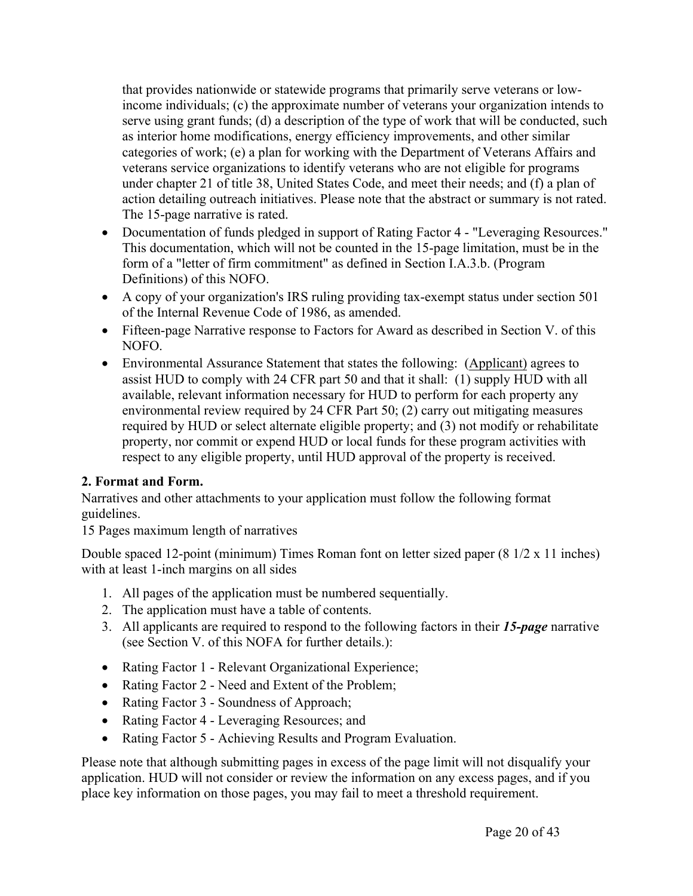that provides nationwide or statewide programs that primarily serve veterans or lowincome individuals; (c) the approximate number of veterans your organization intends to serve using grant funds; (d) a description of the type of work that will be conducted, such as interior home modifications, energy efficiency improvements, and other similar categories of work; (e) a plan for working with the Department of Veterans Affairs and veterans service organizations to identify veterans who are not eligible for programs under chapter 21 of title 38, United States Code, and meet their needs; and (f) a plan of action detailing outreach initiatives. Please note that the abstract or summary is not rated. The 15-page narrative is rated.

- Documentation of funds pledged in support of Rating Factor 4 "Leveraging Resources." This documentation, which will not be counted in the 15-page limitation, must be in the form of a "letter of firm commitment" as defined in Section I.A.3.b. (Program Definitions) of this NOFO.
- A copy of your organization's IRS ruling providing tax-exempt status under section 501 of the Internal Revenue Code of 1986, as amended.
- Fifteen-page Narrative response to Factors for Award as described in Section V. of this NOFO.
- Environmental Assurance Statement that states the following: (Applicant) agrees to assist HUD to comply with 24 CFR part 50 and that it shall: (1) supply HUD with all available, relevant information necessary for HUD to perform for each property any environmental review required by 24 CFR Part 50; (2) carry out mitigating measures required by HUD or select alternate eligible property; and (3) not modify or rehabilitate property, nor commit or expend HUD or local funds for these program activities with respect to any eligible property, until HUD approval of the property is received.

# **2. Format and Form.**

Narratives and other attachments to your application must follow the following format guidelines.

15 Pages maximum length of narratives

Double spaced 12-point (minimum) Times Roman font on letter sized paper (8 1/2 x 11 inches) with at least 1-inch margins on all sides

- 1. All pages of the application must be numbered sequentially.
- 2. The application must have a table of contents.
- 3. All applicants are required to respond to the following factors in their *15-page* narrative (see Section V. of this NOFA for further details.):
- Rating Factor 1 Relevant Organizational Experience;
- Rating Factor 2 Need and Extent of the Problem;
- Rating Factor 3 Soundness of Approach;
- Rating Factor 4 Leveraging Resources; and
- Rating Factor 5 Achieving Results and Program Evaluation.

Please note that although submitting pages in excess of the page limit will not disqualify your application. HUD will not consider or review the information on any excess pages, and if you place key information on those pages, you may fail to meet a threshold requirement.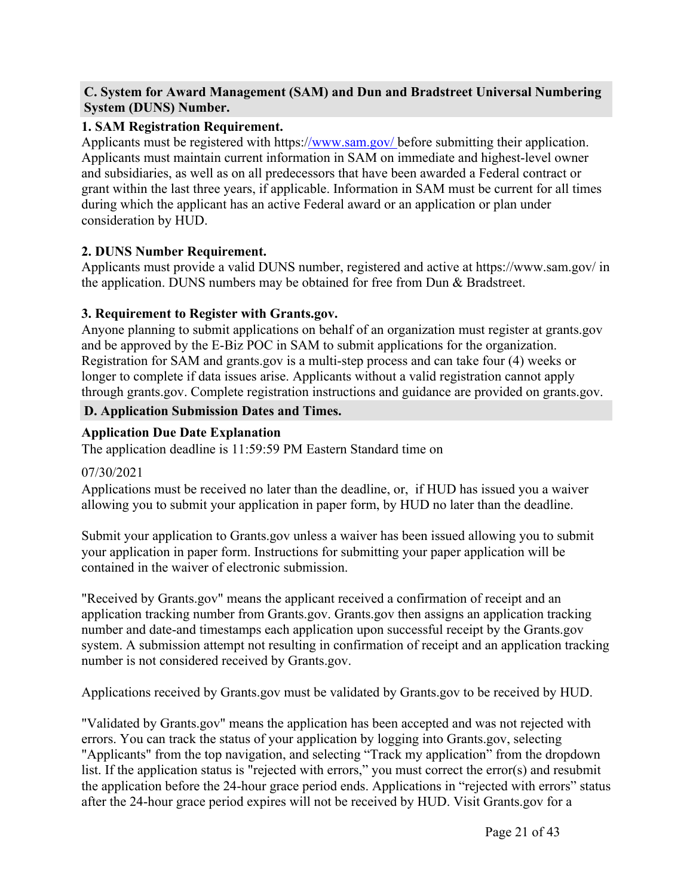#### <span id="page-21-0"></span>**C. System for Award Management (SAM) and Dun and Bradstreet Universal Numbering System (DUNS) Number.**

#### **1. SAM Registration Requirement.**

Applicants must be registered with https:[//www.sam.gov/](http://www.sam.gov/) before submitting their application. Applicants must maintain current information in SAM on immediate and highest-level owner and subsidiaries, as well as on all predecessors that have been awarded a Federal contract or grant within the last three years, if applicable. Information in SAM must be current for all times during which the applicant has an active Federal award or an application or plan under consideration by HUD.

#### **2. DUNS Number Requirement.**

Applicants must provide a valid DUNS number, registered and active at https://www.sam.gov/ in the application. DUNS numbers may be obtained for free from Dun & Bradstreet.

#### **3. Requirement to Register with Grants.gov.**

Anyone planning to submit applications on behalf of an organization must register at grants.gov and be approved by the E-Biz POC in SAM to submit applications for the organization. Registration for SAM and grants.gov is a multi-step process and can take four (4) weeks or longer to complete if data issues arise. Applicants without a valid registration cannot apply through grants.gov. Complete registration instructions and guidance are provided on grants.gov.

#### <span id="page-21-1"></span>**D. Application Submission Dates and Times.**

#### **Application Due Date Explanation**

The application deadline is 11:59:59 PM Eastern Standard time on

#### 07/30/2021

Applications must be received no later than the deadline, or, if HUD has issued you a waiver allowing you to submit your application in paper form, by HUD no later than the deadline.

Submit your application to Grants.gov unless a waiver has been issued allowing you to submit your application in paper form. Instructions for submitting your paper application will be contained in the waiver of electronic submission.

"Received by Grants.gov" means the applicant received a confirmation of receipt and an application tracking number from Grants.gov. Grants.gov then assigns an application tracking number and date-and timestamps each application upon successful receipt by the Grants.gov system. A submission attempt not resulting in confirmation of receipt and an application tracking number is not considered received by Grants.gov.

Applications received by Grants.gov must be validated by Grants.gov to be received by HUD.

"Validated by Grants.gov" means the application has been accepted and was not rejected with errors. You can track the status of your application by logging into Grants.gov, selecting "Applicants" from the top navigation, and selecting "Track my application" from the dropdown list. If the application status is "rejected with errors," you must correct the error(s) and resubmit the application before the 24-hour grace period ends. Applications in "rejected with errors" status after the 24-hour grace period expires will not be received by HUD. Visit Grants.gov for a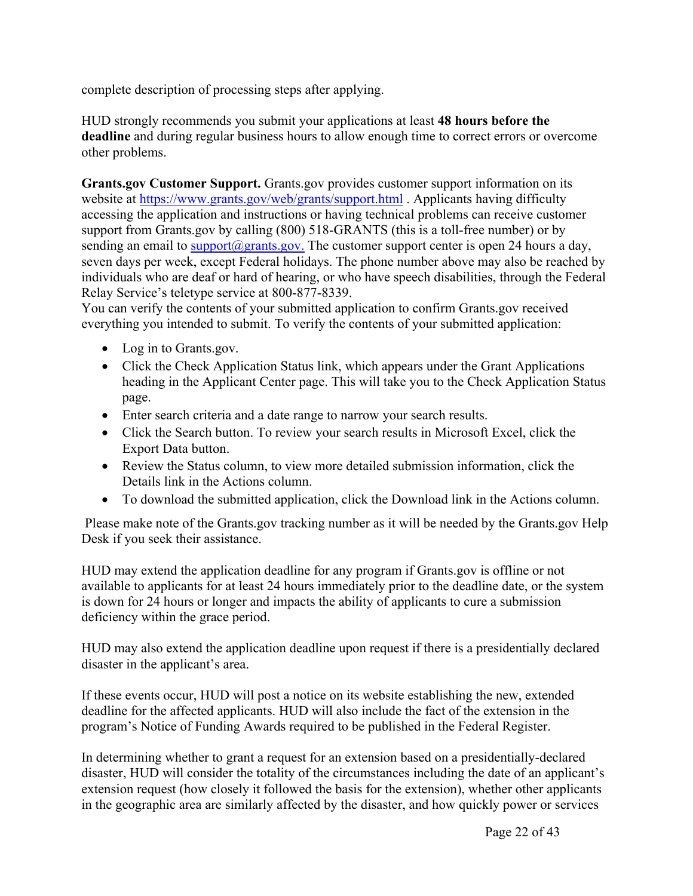complete description of processing steps after applying.

HUD strongly recommends you submit your applications at least **48 hours before the deadline** and during regular business hours to allow enough time to correct errors or overcome other problems.

**Grants.gov Customer Support.** Grants.gov provides customer support information on its website at <https://www.grants.gov/web/grants/support.html> . Applicants having difficulty accessing the application and instructions or having technical problems can receive customer support from Grants.gov by calling (800) 518-GRANTS (this is a toll-free number) or by sending an email to  $\frac{\text{support}(a)}{\text{grants.gov}}$ . The customer support center is open 24 hours a day, seven days per week, except Federal holidays. The phone number above may also be reached by individuals who are deaf or hard of hearing, or who have speech disabilities, through the Federal Relay Service's teletype service at 800-877-8339.

You can verify the contents of your submitted application to confirm Grants.gov received everything you intended to submit. To verify the contents of your submitted application:

- Log in to Grants.gov.
- Click the Check Application Status link, which appears under the Grant Applications heading in the Applicant Center page. This will take you to the Check Application Status page.
- Enter search criteria and a date range to narrow your search results.
- Click the Search button. To review your search results in Microsoft Excel, click the Export Data button.
- Review the Status column, to view more detailed submission information, click the Details link in the Actions column.
- To download the submitted application, click the Download link in the Actions column.

Please make note of the Grants.gov tracking number as it will be needed by the Grants.gov Help Desk if you seek their assistance.

HUD may extend the application deadline for any program if Grants.gov is offline or not available to applicants for at least 24 hours immediately prior to the deadline date, or the system is down for 24 hours or longer and impacts the ability of applicants to cure a submission deficiency within the grace period.

HUD may also extend the application deadline upon request if there is a presidentially declared disaster in the applicant's area.

If these events occur, HUD will post a notice on its website establishing the new, extended deadline for the affected applicants. HUD will also include the fact of the extension in the program's Notice of Funding Awards required to be published in the Federal Register.

In determining whether to grant a request for an extension based on a presidentially-declared disaster, HUD will consider the totality of the circumstances including the date of an applicant's extension request (how closely it followed the basis for the extension), whether other applicants in the geographic area are similarly affected by the disaster, and how quickly power or services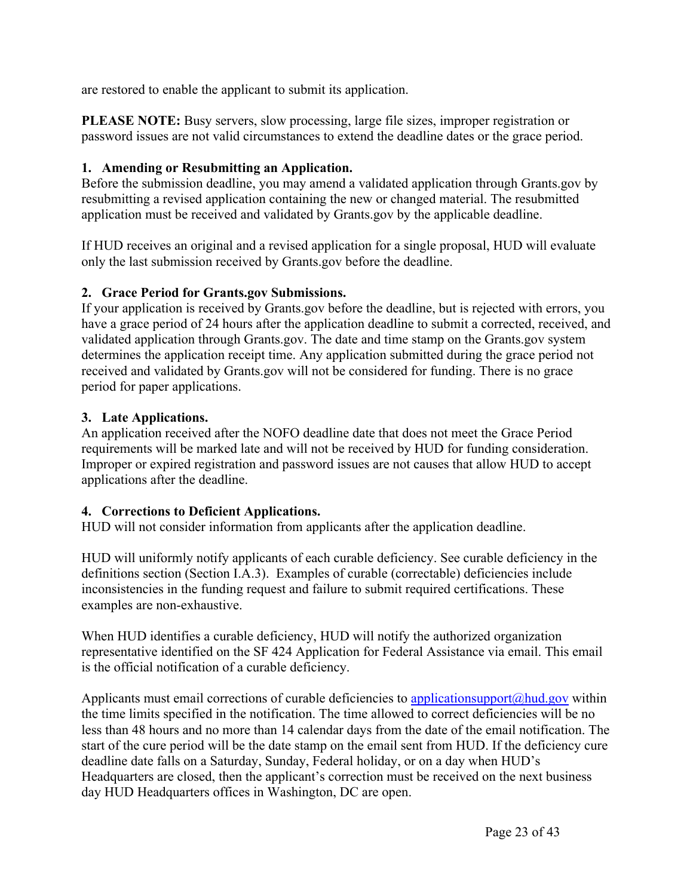are restored to enable the applicant to submit its application.

**PLEASE NOTE:** Busy servers, slow processing, large file sizes, improper registration or password issues are not valid circumstances to extend the deadline dates or the grace period.

# **1. Amending or Resubmitting an Application.**

Before the submission deadline, you may amend a validated application through Grants.gov by resubmitting a revised application containing the new or changed material. The resubmitted application must be received and validated by Grants.gov by the applicable deadline.

If HUD receives an original and a revised application for a single proposal, HUD will evaluate only the last submission received by Grants.gov before the deadline.

# **2. Grace Period for Grants.gov Submissions.**

If your application is received by Grants.gov before the deadline, but is rejected with errors, you have a grace period of 24 hours after the application deadline to submit a corrected, received, and validated application through Grants.gov. The date and time stamp on the Grants.gov system determines the application receipt time. Any application submitted during the grace period not received and validated by Grants.gov will not be considered for funding. There is no grace period for paper applications.

# **3. Late Applications.**

An application received after the NOFO deadline date that does not meet the Grace Period requirements will be marked late and will not be received by HUD for funding consideration. Improper or expired registration and password issues are not causes that allow HUD to accept applications after the deadline.

# **4. Corrections to Deficient Applications.**

HUD will not consider information from applicants after the application deadline.

HUD will uniformly notify applicants of each curable deficiency. See curable deficiency in the definitions section (Section I.A.3). Examples of curable (correctable) deficiencies include inconsistencies in the funding request and failure to submit required certifications. These examples are non-exhaustive.

When HUD identifies a curable deficiency, HUD will notify the authorized organization representative identified on the SF 424 Application for Federal Assistance via email. This email is the official notification of a curable deficiency.

Applicants must email corrections of curable deficiencies to applicationsupport $\omega$ hud.gov within the time limits specified in the notification. The time allowed to correct deficiencies will be no less than 48 hours and no more than 14 calendar days from the date of the email notification. The start of the cure period will be the date stamp on the email sent from HUD. If the deficiency cure deadline date falls on a Saturday, Sunday, Federal holiday, or on a day when HUD's Headquarters are closed, then the applicant's correction must be received on the next business day HUD Headquarters offices in Washington, DC are open.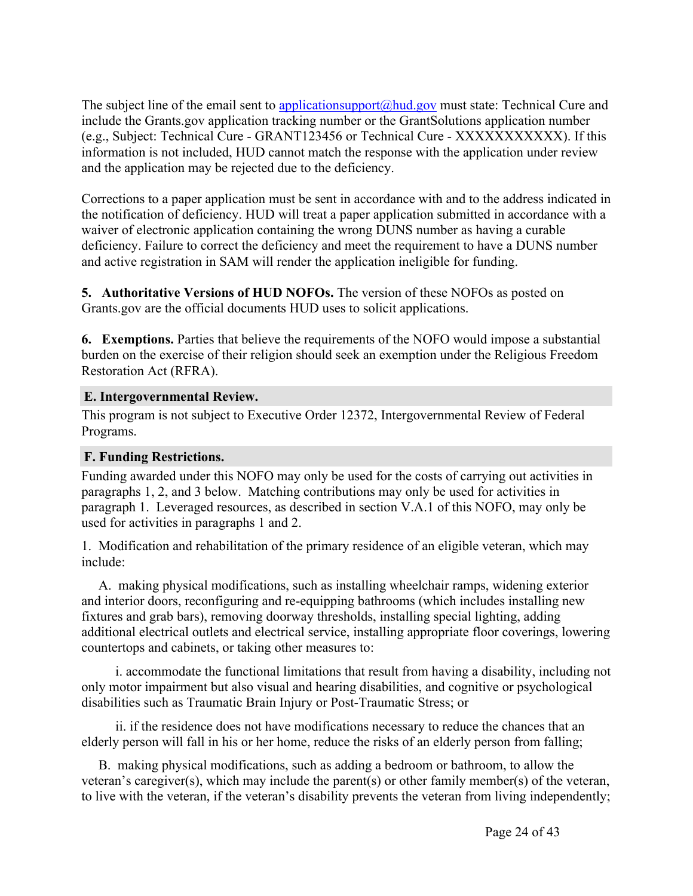The subject line of the email sent to [applicationsupport@hud.gov](mailto:applicationsupport@hud.gov) must state: Technical Cure and include the Grants.gov application tracking number or the GrantSolutions application number (e.g., Subject: Technical Cure - GRANT123456 or Technical Cure - XXXXXXXXXXX). If this information is not included, HUD cannot match the response with the application under review and the application may be rejected due to the deficiency.

Corrections to a paper application must be sent in accordance with and to the address indicated in the notification of deficiency. HUD will treat a paper application submitted in accordance with a waiver of electronic application containing the wrong DUNS number as having a curable deficiency. Failure to correct the deficiency and meet the requirement to have a DUNS number and active registration in SAM will render the application ineligible for funding.

**5. Authoritative Versions of HUD NOFOs.** The version of these NOFOs as posted on Grants.gov are the official documents HUD uses to solicit applications.

**6. Exemptions.** Parties that believe the requirements of the NOFO would impose a substantial burden on the exercise of their religion should seek an exemption under the Religious Freedom Restoration Act (RFRA).

#### <span id="page-24-0"></span>**E. Intergovernmental Review.**

This program is not subject to Executive Order 12372, Intergovernmental Review of Federal Programs.

#### <span id="page-24-1"></span>**F. Funding Restrictions.**

Funding awarded under this NOFO may only be used for the costs of carrying out activities in paragraphs 1, 2, and 3 below. Matching contributions may only be used for activities in paragraph 1. Leveraged resources, as described in section V.A.1 of this NOFO, may only be used for activities in paragraphs 1 and 2.

1. Modification and rehabilitation of the primary residence of an eligible veteran, which may include:

A. making physical modifications, such as installing wheelchair ramps, widening exterior and interior doors, reconfiguring and re-equipping bathrooms (which includes installing new fixtures and grab bars), removing doorway thresholds, installing special lighting, adding additional electrical outlets and electrical service, installing appropriate floor coverings, lowering countertops and cabinets, or taking other measures to:

i. accommodate the functional limitations that result from having a disability, including not only motor impairment but also visual and hearing disabilities, and cognitive or psychological disabilities such as Traumatic Brain Injury or Post-Traumatic Stress; or

ii. if the residence does not have modifications necessary to reduce the chances that an elderly person will fall in his or her home, reduce the risks of an elderly person from falling;

B. making physical modifications, such as adding a bedroom or bathroom, to allow the veteran's caregiver(s), which may include the parent(s) or other family member(s) of the veteran, to live with the veteran, if the veteran's disability prevents the veteran from living independently;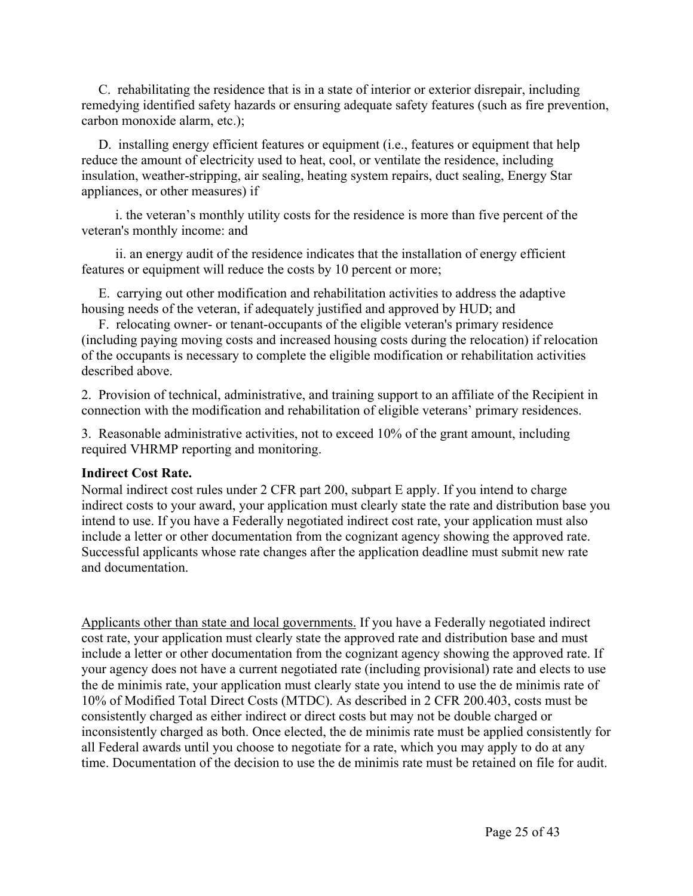C. rehabilitating the residence that is in a state of interior or exterior disrepair, including remedying identified safety hazards or ensuring adequate safety features (such as fire prevention, carbon monoxide alarm, etc.);

D. installing energy efficient features or equipment (i.e., features or equipment that help reduce the amount of electricity used to heat, cool, or ventilate the residence, including insulation, weather-stripping, air sealing, heating system repairs, duct sealing, Energy Star appliances, or other measures) if

i. the veteran's monthly utility costs for the residence is more than five percent of the veteran's monthly income: and

ii. an energy audit of the residence indicates that the installation of energy efficient features or equipment will reduce the costs by 10 percent or more;

E. carrying out other modification and rehabilitation activities to address the adaptive housing needs of the veteran, if adequately justified and approved by HUD; and

F. relocating owner- or tenant-occupants of the eligible veteran's primary residence (including paying moving costs and increased housing costs during the relocation) if relocation of the occupants is necessary to complete the eligible modification or rehabilitation activities described above.

2. Provision of technical, administrative, and training support to an affiliate of the Recipient in connection with the modification and rehabilitation of eligible veterans' primary residences.

3. Reasonable administrative activities, not to exceed 10% of the grant amount, including required VHRMP reporting and monitoring.

#### **Indirect Cost Rate.**

Normal indirect cost rules under 2 CFR part 200, subpart E apply. If you intend to charge indirect costs to your award, your application must clearly state the rate and distribution base you intend to use. If you have a Federally negotiated indirect cost rate, your application must also include a letter or other documentation from the cognizant agency showing the approved rate. Successful applicants whose rate changes after the application deadline must submit new rate and documentation.

Applicants other than state and local governments. If you have a Federally negotiated indirect cost rate, your application must clearly state the approved rate and distribution base and must include a letter or other documentation from the cognizant agency showing the approved rate. If your agency does not have a current negotiated rate (including provisional) rate and elects to use the de minimis rate, your application must clearly state you intend to use the de minimis rate of 10% of Modified Total Direct Costs (MTDC). As described in 2 CFR 200.403, costs must be consistently charged as either indirect or direct costs but may not be double charged or inconsistently charged as both. Once elected, the de minimis rate must be applied consistently for all Federal awards until you choose to negotiate for a rate, which you may apply to do at any time. Documentation of the decision to use the de minimis rate must be retained on file for audit.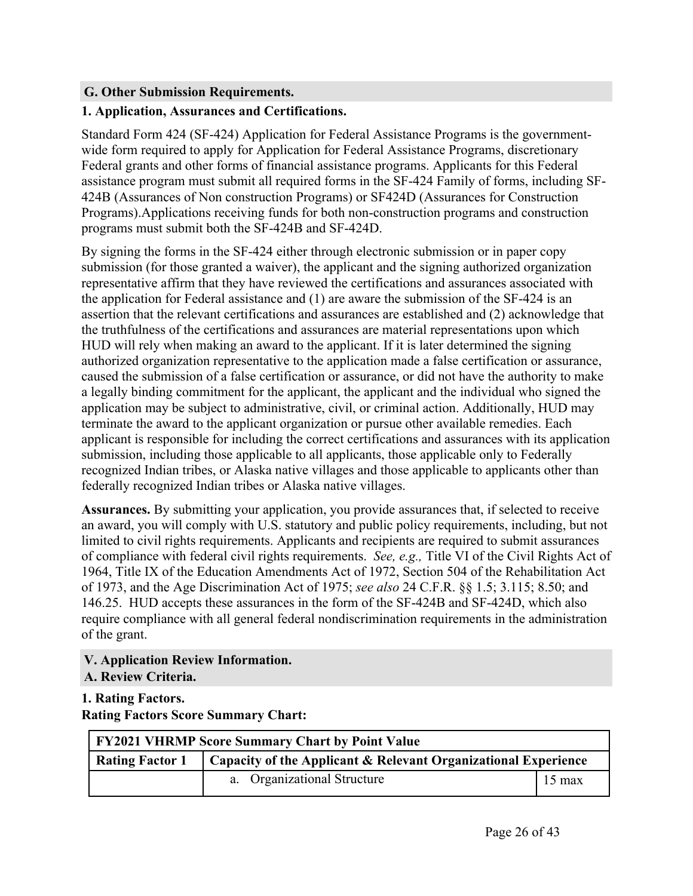#### <span id="page-26-0"></span>**G. Other Submission Requirements.**

#### **1. Application, Assurances and Certifications.**

Standard Form 424 (SF-424) Application for Federal Assistance Programs is the governmentwide form required to apply for Application for Federal Assistance Programs, discretionary Federal grants and other forms of financial assistance programs. Applicants for this Federal assistance program must submit all required forms in the SF-424 Family of forms, including SF-424B (Assurances of Non construction Programs) or SF424D (Assurances for Construction Programs).Applications receiving funds for both non-construction programs and construction programs must submit both the SF-424B and SF-424D.

By signing the forms in the SF-424 either through electronic submission or in paper copy submission (for those granted a waiver), the applicant and the signing authorized organization representative affirm that they have reviewed the certifications and assurances associated with the application for Federal assistance and (1) are aware the submission of the SF-424 is an assertion that the relevant certifications and assurances are established and (2) acknowledge that the truthfulness of the certifications and assurances are material representations upon which HUD will rely when making an award to the applicant. If it is later determined the signing authorized organization representative to the application made a false certification or assurance, caused the submission of a false certification or assurance, or did not have the authority to make a legally binding commitment for the applicant, the applicant and the individual who signed the application may be subject to administrative, civil, or criminal action. Additionally, HUD may terminate the award to the applicant organization or pursue other available remedies. Each applicant is responsible for including the correct certifications and assurances with its application submission, including those applicable to all applicants, those applicable only to Federally recognized Indian tribes, or Alaska native villages and those applicable to applicants other than federally recognized Indian tribes or Alaska native villages.

**Assurances.** By submitting your application, you provide assurances that, if selected to receive an award, you will comply with U.S. statutory and public policy requirements, including, but not limited to civil rights requirements. Applicants and recipients are required to submit assurances of compliance with federal civil rights requirements. *See, e.g.,* Title VI of the Civil Rights Act of 1964, Title IX of the Education Amendments Act of 1972, Section 504 of the Rehabilitation Act of 1973, and the Age Discrimination Act of 1975; *see also* 24 C.F.R. §§ 1.5; 3.115; 8.50; and 146.25. HUD accepts these assurances in the form of the SF-424B and SF-424D, which also require compliance with all general federal nondiscrimination requirements in the administration of the grant.

<span id="page-26-2"></span><span id="page-26-1"></span>**V. Application Review Information. A. Review Criteria.**

# **1. Rating Factors. Rating Factors Score Summary Chart:**

| <b>FY2021 VHRMP Score Summary Chart by Point Value</b> |                                                                        |                  |
|--------------------------------------------------------|------------------------------------------------------------------------|------------------|
| <b>Rating Factor 1</b>                                 | $\vert$ Capacity of the Applicant & Relevant Organizational Experience |                  |
|                                                        | a. Organizational Structure                                            | $15 \text{ max}$ |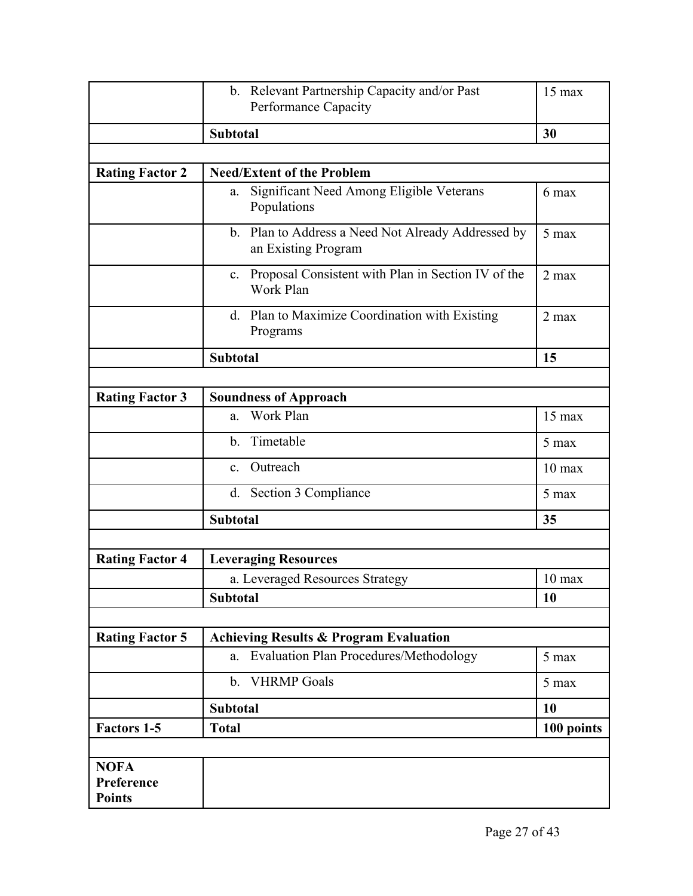|                                            | b. Relevant Partnership Capacity and/or Past                              | $15$ max         |
|--------------------------------------------|---------------------------------------------------------------------------|------------------|
|                                            | Performance Capacity                                                      |                  |
|                                            | <b>Subtotal</b>                                                           | 30               |
|                                            |                                                                           |                  |
| <b>Rating Factor 2</b>                     | <b>Need/Extent of the Problem</b>                                         |                  |
|                                            | Significant Need Among Eligible Veterans<br>a.<br>Populations             | 6 max            |
|                                            | b. Plan to Address a Need Not Already Addressed by<br>an Existing Program | 5 max            |
|                                            | c. Proposal Consistent with Plan in Section IV of the<br>Work Plan        | $2$ max          |
|                                            | d. Plan to Maximize Coordination with Existing<br>Programs                | $2$ max          |
|                                            | <b>Subtotal</b>                                                           | 15               |
|                                            |                                                                           |                  |
| <b>Rating Factor 3</b>                     | <b>Soundness of Approach</b>                                              |                  |
|                                            | Work Plan<br>a.                                                           | $15$ max         |
|                                            | Timetable<br>$\mathbf{b}$ .                                               | 5 max            |
|                                            | Outreach<br>$\mathbf{c}$ .                                                | $10 \text{ max}$ |
|                                            | d. Section 3 Compliance                                                   | 5 max            |
|                                            | <b>Subtotal</b>                                                           | 35               |
|                                            |                                                                           |                  |
| <b>Rating Factor 4</b>                     | <b>Leveraging Resources</b>                                               |                  |
|                                            | a. Leveraged Resources Strategy                                           | $10$ max         |
|                                            | <b>Subtotal</b>                                                           | 10               |
|                                            |                                                                           |                  |
| <b>Rating Factor 5</b>                     | <b>Achieving Results &amp; Program Evaluation</b>                         |                  |
|                                            | a. Evaluation Plan Procedures/Methodology                                 | 5 max            |
|                                            | b. VHRMP Goals                                                            | 5 max            |
|                                            | <b>Subtotal</b>                                                           | 10               |
| <b>Factors 1-5</b>                         | <b>Total</b>                                                              | 100 points       |
|                                            |                                                                           |                  |
| <b>NOFA</b><br>Preference<br><b>Points</b> |                                                                           |                  |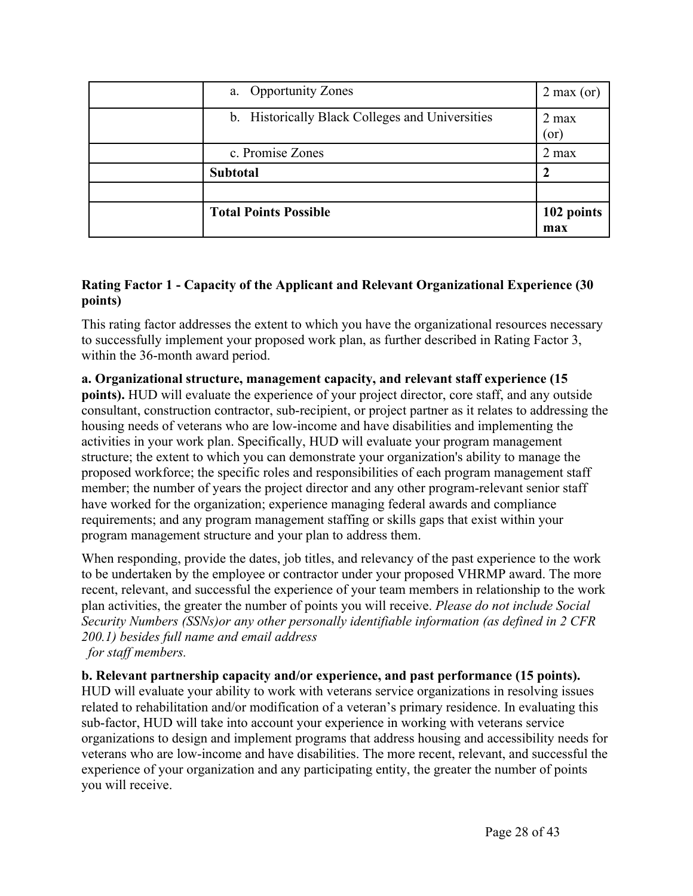| a. Opportunity Zones                            | $2$ max (or)   |
|-------------------------------------------------|----------------|
| b. Historically Black Colleges and Universities | $2$ max<br>or) |
| c. Promise Zones                                | $2$ max        |
| <b>Subtotal</b>                                 |                |
|                                                 |                |
| <b>Total Points Possible</b>                    | 102 points     |
|                                                 | max            |

#### **Rating Factor 1 - Capacity of the Applicant and Relevant Organizational Experience (30 points)**

This rating factor addresses the extent to which you have the organizational resources necessary to successfully implement your proposed work plan, as further described in Rating Factor 3, within the 36-month award period.

#### **a. Organizational structure, management capacity, and relevant staff experience (15 points).** HUD will evaluate the experience of your project director, core staff, and any outside consultant, construction contractor, sub-recipient, or project partner as it relates to addressing the housing needs of veterans who are low-income and have disabilities and implementing the activities in your work plan. Specifically, HUD will evaluate your program management structure; the extent to which you can demonstrate your organization's ability to manage the proposed workforce; the specific roles and responsibilities of each program management staff

member; the number of years the project director and any other program-relevant senior staff have worked for the organization; experience managing federal awards and compliance requirements; and any program management staffing or skills gaps that exist within your program management structure and your plan to address them.

When responding, provide the dates, job titles, and relevancy of the past experience to the work to be undertaken by the employee or contractor under your proposed VHRMP award. The more recent, relevant, and successful the experience of your team members in relationship to the work plan activities, the greater the number of points you will receive. *Please do not include Social Security Numbers (SSNs)or any other personally identifiable information (as defined in 2 CFR 200.1) besides full name and email address for staff members.*

# **b. Relevant partnership capacity and/or experience, and past performance (15 points).**

HUD will evaluate your ability to work with veterans service organizations in resolving issues related to rehabilitation and/or modification of a veteran's primary residence. In evaluating this sub-factor, HUD will take into account your experience in working with veterans service organizations to design and implement programs that address housing and accessibility needs for veterans who are low-income and have disabilities. The more recent, relevant, and successful the experience of your organization and any participating entity, the greater the number of points you will receive.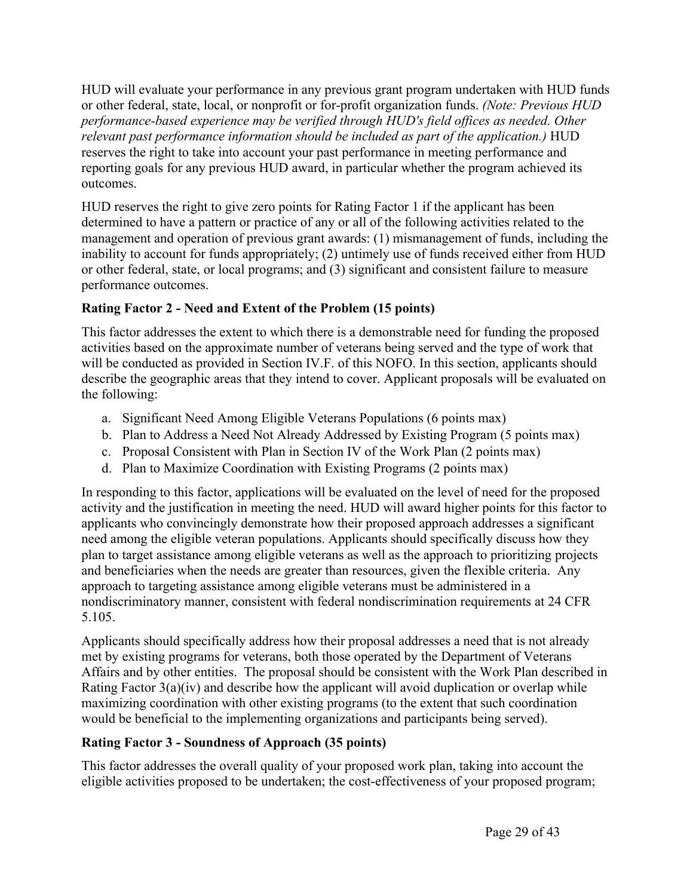HUD will evaluate your performance in any previous grant program undertaken with HUD funds or other federal, state, local, or nonprofit or for-profit organization funds. *(Note: Previous HUD performance-based experience may be verified through HUD's field offices as needed. Other relevant past performance information should be included as part of the application.)* HUD reserves the right to take into account your past performance in meeting performance and reporting goals for any previous HUD award, in particular whether the program achieved its outcomes.

HUD reserves the right to give zero points for Rating Factor 1 if the applicant has been determined to have a pattern or practice of any or all of the following activities related to the management and operation of previous grant awards: (1) mismanagement of funds, including the inability to account for funds appropriately; (2) untimely use of funds received either from HUD or other federal, state, or local programs; and (3) significant and consistent failure to measure performance outcomes.

# **Rating Factor 2 - Need and Extent of the Problem (15 points)**

This factor addresses the extent to which there is a demonstrable need for funding the proposed activities based on the approximate number of veterans being served and the type of work that will be conducted as provided in Section IV.F. of this NOFO. In this section, applicants should describe the geographic areas that they intend to cover. Applicant proposals will be evaluated on the following:

- a. Significant Need Among Eligible Veterans Populations (6 points max)
- b. Plan to Address a Need Not Already Addressed by Existing Program (5 points max)
- c. Proposal Consistent with Plan in Section IV of the Work Plan (2 points max)
- d. Plan to Maximize Coordination with Existing Programs (2 points max)

In responding to this factor, applications will be evaluated on the level of need for the proposed activity and the justification in meeting the need. HUD will award higher points for this factor to applicants who convincingly demonstrate how their proposed approach addresses a significant need among the eligible veteran populations. Applicants should specifically discuss how they plan to target assistance among eligible veterans as well as the approach to prioritizing projects and beneficiaries when the needs are greater than resources, given the flexible criteria. Any approach to targeting assistance among eligible veterans must be administered in a nondiscriminatory manner, consistent with federal nondiscrimination requirements at 24 CFR 5.105.

Applicants should specifically address how their proposal addresses a need that is not already met by existing programs for veterans, both those operated by the Department of Veterans Affairs and by other entities. The proposal should be consistent with the Work Plan described in Rating Factor 3(a)(iv) and describe how the applicant will avoid duplication or overlap while maximizing coordination with other existing programs (to the extent that such coordination would be beneficial to the implementing organizations and participants being served).

# **Rating Factor 3 - Soundness of Approach (35 points)**

This factor addresses the overall quality of your proposed work plan, taking into account the eligible activities proposed to be undertaken; the cost-effectiveness of your proposed program;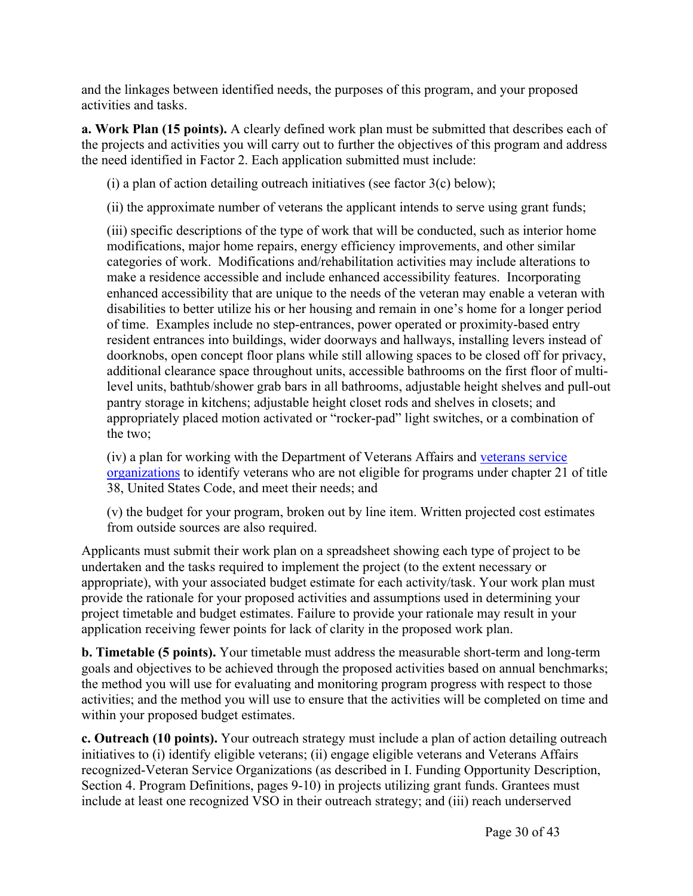and the linkages between identified needs, the purposes of this program, and your proposed activities and tasks.

**a. Work Plan (15 points).** A clearly defined work plan must be submitted that describes each of the projects and activities you will carry out to further the objectives of this program and address the need identified in Factor 2. Each application submitted must include:

(i) a plan of action detailing outreach initiatives (see factor  $3(c)$  below);

(ii) the approximate number of veterans the applicant intends to serve using grant funds;

(iii) specific descriptions of the type of work that will be conducted, such as interior home modifications, major home repairs, energy efficiency improvements, and other similar categories of work. Modifications and/rehabilitation activities may include alterations to make a residence accessible and include enhanced accessibility features. Incorporating enhanced accessibility that are unique to the needs of the veteran may enable a veteran with disabilities to better utilize his or her housing and remain in one's home for a longer period of time. Examples include no step-entrances, power operated or proximity-based entry resident entrances into buildings, wider doorways and hallways, installing levers instead of doorknobs, open concept floor plans while still allowing spaces to be closed off for privacy, additional clearance space throughout units, accessible bathrooms on the first floor of multilevel units, bathtub/shower grab bars in all bathrooms, adjustable height shelves and pull-out pantry storage in kitchens; adjustable height closet rods and shelves in closets; and appropriately placed motion activated or "rocker-pad" light switches, or a combination of the two;

(iv) a plan for working with the Department of Veterans Affairs and [veterans](https://www.va.gov/vso/VSO-Directory.pdf) service [organizations](https://www.va.gov/vso/VSO-Directory.pdf) to identify veterans who are not eligible for programs under chapter 21 of title 38, United States Code, and meet their needs; and

(v) the budget for your program, broken out by line item. Written projected cost estimates from outside sources are also required.

Applicants must submit their work plan on a spreadsheet showing each type of project to be undertaken and the tasks required to implement the project (to the extent necessary or appropriate), with your associated budget estimate for each activity/task. Your work plan must provide the rationale for your proposed activities and assumptions used in determining your project timetable and budget estimates. Failure to provide your rationale may result in your application receiving fewer points for lack of clarity in the proposed work plan.

**b. Timetable (5 points).** Your timetable must address the measurable short-term and long-term goals and objectives to be achieved through the proposed activities based on annual benchmarks; the method you will use for evaluating and monitoring program progress with respect to those activities; and the method you will use to ensure that the activities will be completed on time and within your proposed budget estimates.

**c. Outreach (10 points).** Your outreach strategy must include a plan of action detailing outreach initiatives to (i) identify eligible veterans; (ii) engage eligible veterans and Veterans Affairs recognized-Veteran Service Organizations (as described in I. Funding Opportunity Description, Section 4. Program Definitions, pages 9-10) in projects utilizing grant funds. Grantees must include at least one recognized VSO in their outreach strategy; and (iii) reach underserved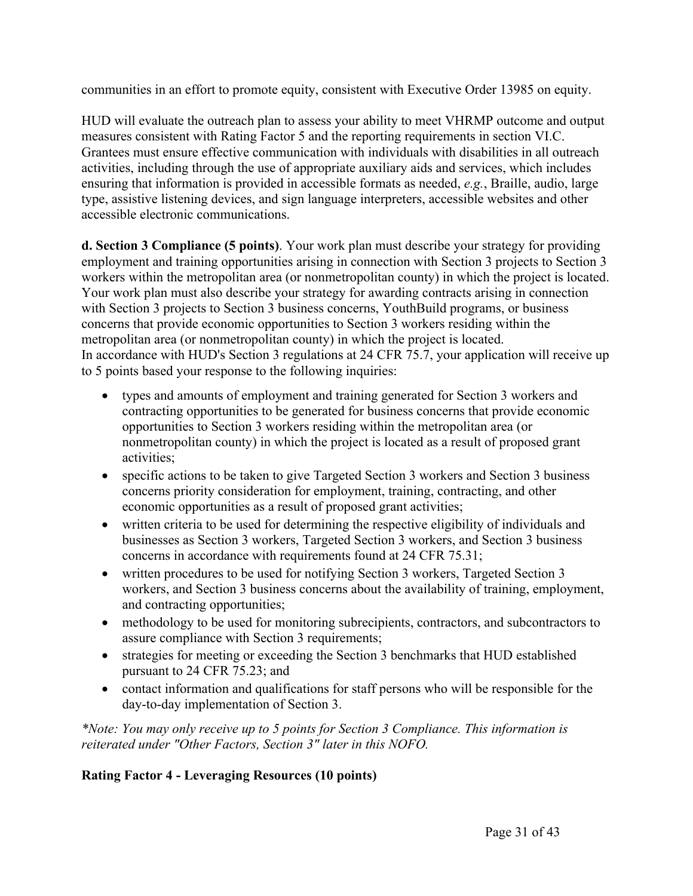communities in an effort to promote equity, consistent with Executive Order 13985 on equity.

HUD will evaluate the outreach plan to assess your ability to meet VHRMP outcome and output measures consistent with Rating Factor 5 and the reporting requirements in section VI.C. Grantees must ensure effective communication with individuals with disabilities in all outreach activities, including through the use of appropriate auxiliary aids and services, which includes ensuring that information is provided in accessible formats as needed, *e.g.*, Braille, audio, large type, assistive listening devices, and sign language interpreters, accessible websites and other accessible electronic communications.

**d. Section 3 Compliance (5 points)**. Your work plan must describe your strategy for providing employment and training opportunities arising in connection with Section 3 projects to Section 3 workers within the metropolitan area (or nonmetropolitan county) in which the project is located. Your work plan must also describe your strategy for awarding contracts arising in connection with Section 3 projects to Section 3 business concerns, YouthBuild programs, or business concerns that provide economic opportunities to Section 3 workers residing within the metropolitan area (or nonmetropolitan county) in which the project is located. In accordance with HUD's Section 3 regulations at 24 CFR 75.7, your application will receive up to 5 points based your response to the following inquiries:

- types and amounts of employment and training generated for Section 3 workers and contracting opportunities to be generated for business concerns that provide economic opportunities to Section 3 workers residing within the metropolitan area (or nonmetropolitan county) in which the project is located as a result of proposed grant activities;
- specific actions to be taken to give Targeted Section 3 workers and Section 3 business concerns priority consideration for employment, training, contracting, and other economic opportunities as a result of proposed grant activities;
- written criteria to be used for determining the respective eligibility of individuals and businesses as Section 3 workers, Targeted Section 3 workers, and Section 3 business concerns in accordance with requirements found at 24 CFR 75.31;
- written procedures to be used for notifying Section 3 workers, Targeted Section 3 workers, and Section 3 business concerns about the availability of training, employment, and contracting opportunities;
- methodology to be used for monitoring subrecipients, contractors, and subcontractors to assure compliance with Section 3 requirements;
- strategies for meeting or exceeding the Section 3 benchmarks that HUD established pursuant to 24 CFR 75.23; and
- contact information and qualifications for staff persons who will be responsible for the day-to-day implementation of Section 3.

*\*Note: You may only receive up to 5 points for Section 3 Compliance. This information is reiterated under "Other Factors, Section 3" later in this NOFO.*

# **Rating Factor 4 - Leveraging Resources (10 points)**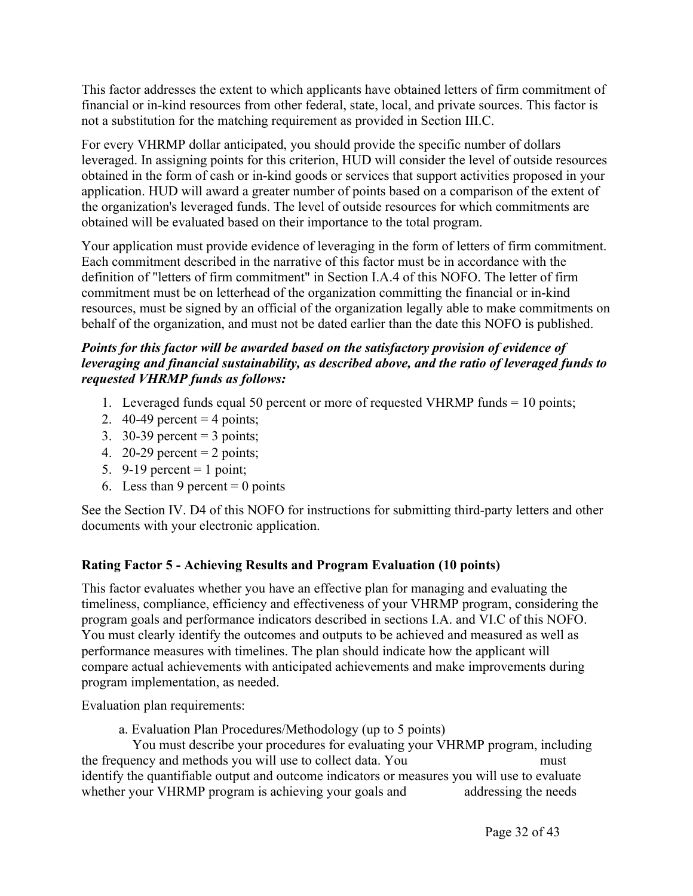This factor addresses the extent to which applicants have obtained letters of firm commitment of financial or in-kind resources from other federal, state, local, and private sources. This factor is not a substitution for the matching requirement as provided in Section III.C.

For every VHRMP dollar anticipated, you should provide the specific number of dollars leveraged. In assigning points for this criterion, HUD will consider the level of outside resources obtained in the form of cash or in-kind goods or services that support activities proposed in your application. HUD will award a greater number of points based on a comparison of the extent of the organization's leveraged funds. The level of outside resources for which commitments are obtained will be evaluated based on their importance to the total program.

Your application must provide evidence of leveraging in the form of letters of firm commitment. Each commitment described in the narrative of this factor must be in accordance with the definition of "letters of firm commitment" in Section I.A.4 of this NOFO. The letter of firm commitment must be on letterhead of the organization committing the financial or in-kind resources, must be signed by an official of the organization legally able to make commitments on behalf of the organization, and must not be dated earlier than the date this NOFO is published.

#### *Points for this factor will be awarded based on the satisfactory provision of evidence of leveraging and financial sustainability, as described above, and the ratio of leveraged funds to requested VHRMP funds as follows:*

- 1. Leveraged funds equal 50 percent or more of requested VHRMP funds = 10 points;
- 2. 40-49 percent  $=$  4 points;
- 3. 30-39 percent  $=$  3 points;
- 4. 20-29 percent  $= 2$  points;
- 5. 9-19 percent  $= 1$  point;
- 6. Less than 9 percent  $= 0$  points

See the Section IV. D4 of this NOFO for instructions for submitting third-party letters and other documents with your electronic application.

# **Rating Factor 5 - Achieving Results and Program Evaluation (10 points)**

This factor evaluates whether you have an effective plan for managing and evaluating the timeliness, compliance, efficiency and effectiveness of your VHRMP program, considering the program goals and performance indicators described in sections I.A. and VI.C of this NOFO. You must clearly identify the outcomes and outputs to be achieved and measured as well as performance measures with timelines. The plan should indicate how the applicant will compare actual achievements with anticipated achievements and make improvements during program implementation, as needed.

Evaluation plan requirements:

a. Evaluation Plan Procedures/Methodology (up to 5 points)

You must describe your procedures for evaluating your VHRMP program, including the frequency and methods you will use to collect data. You must identify the quantifiable output and outcome indicators or measures you will use to evaluate whether your VHRMP program is achieving your goals and addressing the needs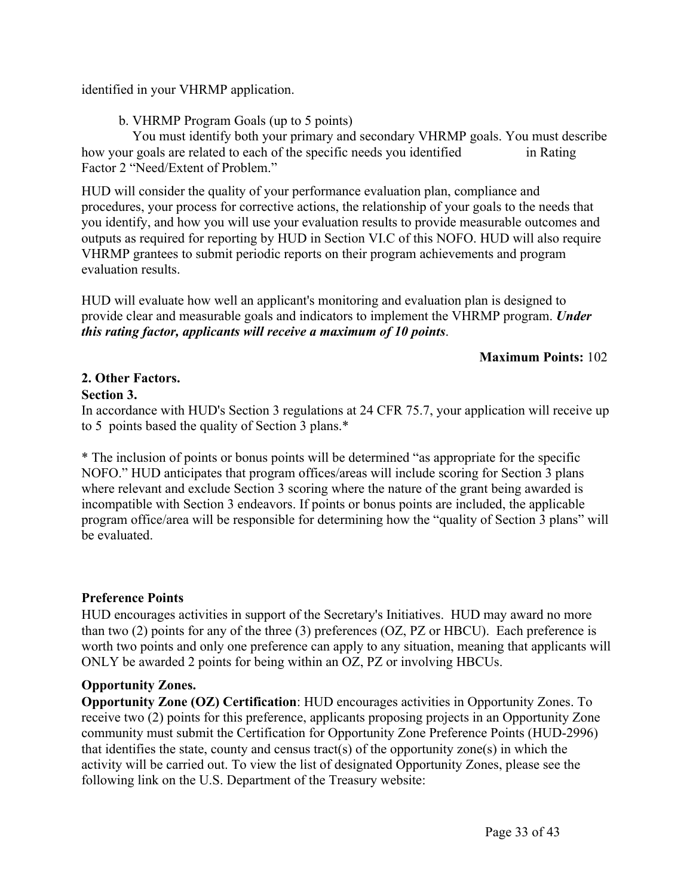identified in your VHRMP application.

b. VHRMP Program Goals (up to 5 points)

You must identify both your primary and secondary VHRMP goals. You must describe how your goals are related to each of the specific needs you identified in Rating Factor 2 "Need/Extent of Problem."

HUD will consider the quality of your performance evaluation plan, compliance and procedures, your process for corrective actions, the relationship of your goals to the needs that you identify, and how you will use your evaluation results to provide measurable outcomes and outputs as required for reporting by HUD in Section VI.C of this NOFO. HUD will also require VHRMP grantees to submit periodic reports on their program achievements and program evaluation results.

HUD will evaluate how well an applicant's monitoring and evaluation plan is designed to provide clear and measurable goals and indicators to implement the VHRMP program. *Under this rating factor, applicants will receive a maximum of 10 points*.

#### **Maximum Points:** 102

# **2. Other Factors.**

#### **Section 3.**

In accordance with HUD's Section 3 regulations at 24 CFR 75.7, your application will receive up to 5 points based the quality of Section 3 plans.\*

\* The inclusion of points or bonus points will be determined "as appropriate for the specific NOFO." HUD anticipates that program offices/areas will include scoring for Section 3 plans where relevant and exclude Section 3 scoring where the nature of the grant being awarded is incompatible with Section 3 endeavors. If points or bonus points are included, the applicable program office/area will be responsible for determining how the "quality of Section 3 plans" will be evaluated.

# **Preference Points**

HUD encourages activities in support of the Secretary's Initiatives. HUD may award no more than two (2) points for any of the three (3) preferences (OZ, PZ or HBCU). Each preference is worth two points and only one preference can apply to any situation, meaning that applicants will ONLY be awarded 2 points for being within an OZ, PZ or involving HBCUs.

# **Opportunity Zones.**

**Opportunity Zone (OZ) Certification**: HUD encourages activities in Opportunity Zones. To receive two (2) points for this preference, applicants proposing projects in an Opportunity Zone community must submit the Certification for Opportunity Zone Preference Points (HUD-2996) that identifies the state, county and census tract(s) of the opportunity zone(s) in which the activity will be carried out. To view the list of designated Opportunity Zones, please see the following link on the U.S. Department of the Treasury website: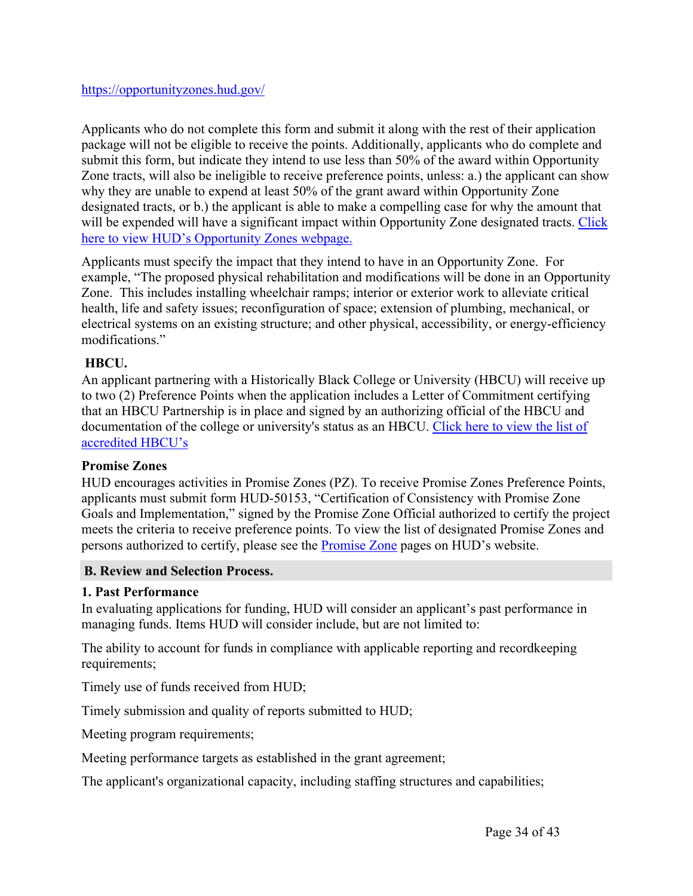Applicants who do not complete this form and submit it along with the rest of their application package will not be eligible to receive the points. Additionally, applicants who do complete and submit this form, but indicate they intend to use less than 50% of the award within Opportunity Zone tracts, will also be ineligible to receive preference points, unless: a.) the applicant can show why they are unable to expend at least 50% of the grant award within Opportunity Zone designated tracts, or b.) the applicant is able to make a compelling case for why the amount that will be expended will have a significant impact within Opportunity Zone designated tracts. [Click](https://opportunityzones.hud.gov/) here to view HUD's [Opportunity](https://opportunityzones.hud.gov/) Zones webpage.

Applicants must specify the impact that they intend to have in an Opportunity Zone. For example, "The proposed physical rehabilitation and modifications will be done in an Opportunity Zone. This includes installing wheelchair ramps; interior or exterior work to alleviate critical health, life and safety issues; reconfiguration of space; extension of plumbing, mechanical, or electrical systems on an existing structure; and other physical, accessibility, or energy-efficiency modifications."

#### **HBCU.**

An applicant partnering with a Historically Black College or University (HBCU) will receive up to two (2) Preference Points when the application includes a Letter of Commitment certifying that an HBCU Partnership is in place and signed by an authorizing official of the HBCU and documentation of the college or university's status as an HBCU. [Click](https://sites.ed.gov/whhbcu/one-hundred-and-five-historically-black-colleges-and-universities/) here to view the list of [accredited](https://sites.ed.gov/whhbcu/one-hundred-and-five-historically-black-colleges-and-universities/) HBCU's

#### **Promise Zones**

HUD encourages activities in Promise Zones (PZ). To receive Promise Zones Preference Points, applicants must submit form HUD-50153, "Certification of Consistency with Promise Zone Goals and Implementation," signed by the Promise Zone Official authorized to certify the project meets the criteria to receive preference points. To view the list of designated Promise Zones and persons authorized to certify, please see the [Promise](https://www.hudexchange.info/programs/promise-zones/) Zone pages on HUD's website.

#### <span id="page-34-0"></span>**B. Review and Selection Process.**

#### **1. Past Performance**

In evaluating applications for funding, HUD will consider an applicant's past performance in managing funds. Items HUD will consider include, but are not limited to:

The ability to account for funds in compliance with applicable reporting and recordkeeping requirements;

Timely use of funds received from HUD;

Timely submission and quality of reports submitted to HUD;

Meeting program requirements;

Meeting performance targets as established in the grant agreement;

The applicant's organizational capacity, including staffing structures and capabilities;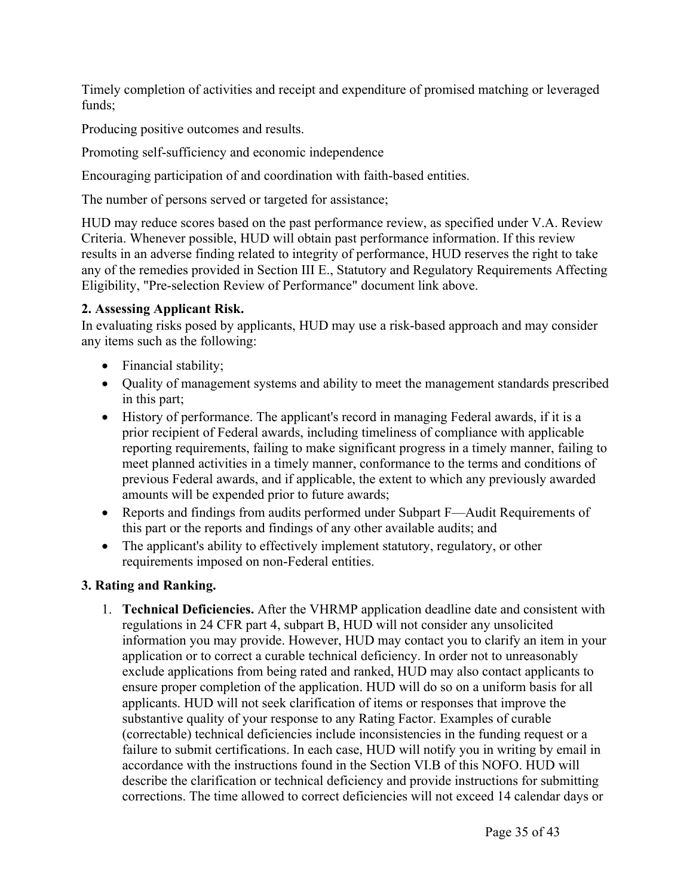Timely completion of activities and receipt and expenditure of promised matching or leveraged funds;

Producing positive outcomes and results.

Promoting self-sufficiency and economic independence

Encouraging participation of and coordination with faith-based entities.

The number of persons served or targeted for assistance;

HUD may reduce scores based on the past performance review, as specified under V.A. Review Criteria. Whenever possible, HUD will obtain past performance information. If this review results in an adverse finding related to integrity of performance, HUD reserves the right to take any of the remedies provided in Section III E., Statutory and Regulatory Requirements Affecting Eligibility, "Pre-selection Review of Performance" document link above.

# **2. Assessing Applicant Risk.**

In evaluating risks posed by applicants, HUD may use a risk-based approach and may consider any items such as the following:

- Financial stability;
- Quality of management systems and ability to meet the management standards prescribed in this part;
- History of performance. The applicant's record in managing Federal awards, if it is a prior recipient of Federal awards, including timeliness of compliance with applicable reporting requirements, failing to make significant progress in a timely manner, failing to meet planned activities in a timely manner, conformance to the terms and conditions of previous Federal awards, and if applicable, the extent to which any previously awarded amounts will be expended prior to future awards;
- Reports and findings from audits performed under Subpart F—Audit Requirements of this part or the reports and findings of any other available audits; and
- The applicant's ability to effectively implement statutory, regulatory, or other requirements imposed on non-Federal entities.

# **3. Rating and Ranking.**

1. **Technical Deficiencies.** After the VHRMP application deadline date and consistent with regulations in 24 CFR part 4, subpart B, HUD will not consider any unsolicited information you may provide. However, HUD may contact you to clarify an item in your application or to correct a curable technical deficiency. In order not to unreasonably exclude applications from being rated and ranked, HUD may also contact applicants to ensure proper completion of the application. HUD will do so on a uniform basis for all applicants. HUD will not seek clarification of items or responses that improve the substantive quality of your response to any Rating Factor. Examples of curable (correctable) technical deficiencies include inconsistencies in the funding request or a failure to submit certifications. In each case, HUD will notify you in writing by email in accordance with the instructions found in the Section VI.B of this NOFO. HUD will describe the clarification or technical deficiency and provide instructions for submitting corrections. The time allowed to correct deficiencies will not exceed 14 calendar days or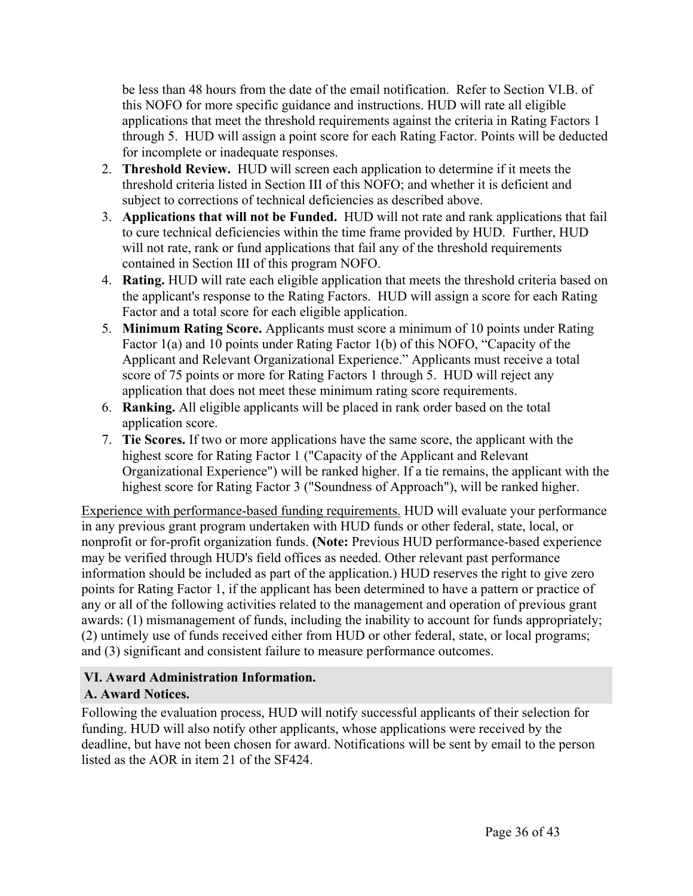be less than 48 hours from the date of the email notification. Refer to Section VI.B. of this NOFO for more specific guidance and instructions. HUD will rate all eligible applications that meet the threshold requirements against the criteria in Rating Factors 1 through 5. HUD will assign a point score for each Rating Factor. Points will be deducted for incomplete or inadequate responses.

- 2. **Threshold Review.** HUD will screen each application to determine if it meets the threshold criteria listed in Section III of this NOFO; and whether it is deficient and subject to corrections of technical deficiencies as described above.
- 3. **Applications that will not be Funded.** HUD will not rate and rank applications that fail to cure technical deficiencies within the time frame provided by HUD. Further, HUD will not rate, rank or fund applications that fail any of the threshold requirements contained in Section III of this program NOFO.
- 4. **Rating.** HUD will rate each eligible application that meets the threshold criteria based on the applicant's response to the Rating Factors. HUD will assign a score for each Rating Factor and a total score for each eligible application.
- 5. **Minimum Rating Score.** Applicants must score a minimum of 10 points under Rating Factor 1(a) and 10 points under Rating Factor 1(b) of this NOFO, "Capacity of the Applicant and Relevant Organizational Experience." Applicants must receive a total score of 75 points or more for Rating Factors 1 through 5. HUD will reject any application that does not meet these minimum rating score requirements.
- 6. **Ranking.** All eligible applicants will be placed in rank order based on the total application score.
- 7. **Tie Scores.** If two or more applications have the same score, the applicant with the highest score for Rating Factor 1 ("Capacity of the Applicant and Relevant Organizational Experience") will be ranked higher. If a tie remains, the applicant with the highest score for Rating Factor 3 ("Soundness of Approach"), will be ranked higher.

Experience with performance-based funding requirements. HUD will evaluate your performance in any previous grant program undertaken with HUD funds or other federal, state, local, or nonprofit or for-profit organization funds. **(Note:** Previous HUD performance-based experience may be verified through HUD's field offices as needed. Other relevant past performance information should be included as part of the application.) HUD reserves the right to give zero points for Rating Factor 1, if the applicant has been determined to have a pattern or practice of any or all of the following activities related to the management and operation of previous grant awards: (1) mismanagement of funds, including the inability to account for funds appropriately; (2) untimely use of funds received either from HUD or other federal, state, or local programs; and (3) significant and consistent failure to measure performance outcomes.

# <span id="page-36-0"></span>**VI. Award Administration Information.**

# <span id="page-36-1"></span>**A. Award Notices.**

Following the evaluation process, HUD will notify successful applicants of their selection for funding. HUD will also notify other applicants, whose applications were received by the deadline, but have not been chosen for award. Notifications will be sent by email to the person listed as the AOR in item 21 of the SF424.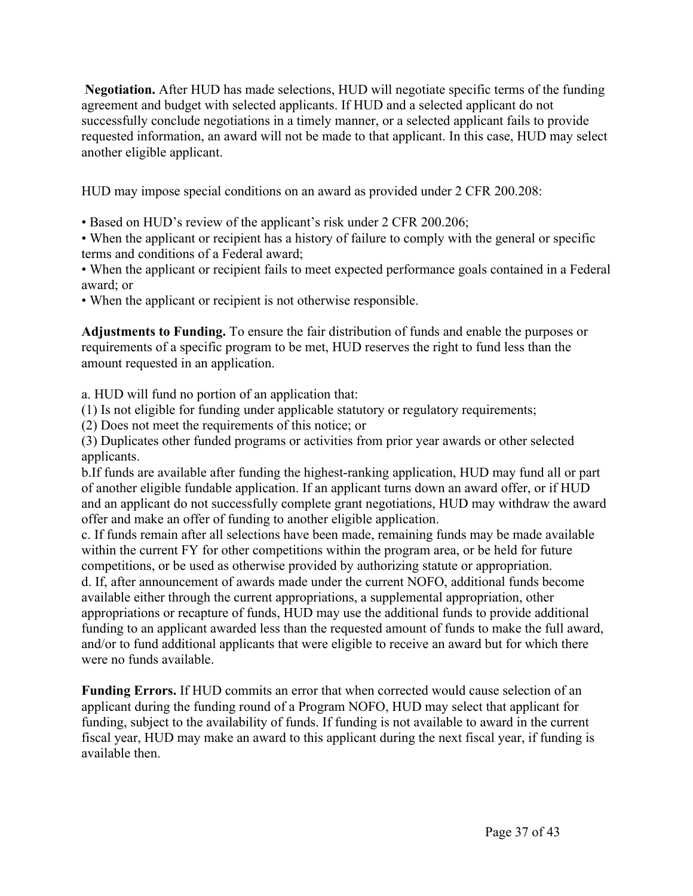**Negotiation.** After HUD has made selections, HUD will negotiate specific terms of the funding agreement and budget with selected applicants. If HUD and a selected applicant do not successfully conclude negotiations in a timely manner, or a selected applicant fails to provide requested information, an award will not be made to that applicant. In this case, HUD may select another eligible applicant.

HUD may impose special conditions on an award as provided under 2 CFR 200.208:

• Based on HUD's review of the applicant's risk under 2 CFR 200.206;

• When the applicant or recipient has a history of failure to comply with the general or specific terms and conditions of a Federal award;

• When the applicant or recipient fails to meet expected performance goals contained in a Federal award; or

• When the applicant or recipient is not otherwise responsible.

**Adjustments to Funding.** To ensure the fair distribution of funds and enable the purposes or requirements of a specific program to be met, HUD reserves the right to fund less than the amount requested in an application.

a. HUD will fund no portion of an application that:

(1) Is not eligible for funding under applicable statutory or regulatory requirements;

(2) Does not meet the requirements of this notice; or

(3) Duplicates other funded programs or activities from prior year awards or other selected applicants.

b.If funds are available after funding the highest-ranking application, HUD may fund all or part of another eligible fundable application. If an applicant turns down an award offer, or if HUD and an applicant do not successfully complete grant negotiations, HUD may withdraw the award offer and make an offer of funding to another eligible application.

c. If funds remain after all selections have been made, remaining funds may be made available within the current FY for other competitions within the program area, or be held for future competitions, or be used as otherwise provided by authorizing statute or appropriation.

d. If, after announcement of awards made under the current NOFO, additional funds become available either through the current appropriations, a supplemental appropriation, other appropriations or recapture of funds, HUD may use the additional funds to provide additional funding to an applicant awarded less than the requested amount of funds to make the full award, and/or to fund additional applicants that were eligible to receive an award but for which there were no funds available.

**Funding Errors.** If HUD commits an error that when corrected would cause selection of an applicant during the funding round of a Program NOFO, HUD may select that applicant for funding, subject to the availability of funds. If funding is not available to award in the current fiscal year, HUD may make an award to this applicant during the next fiscal year, if funding is available then.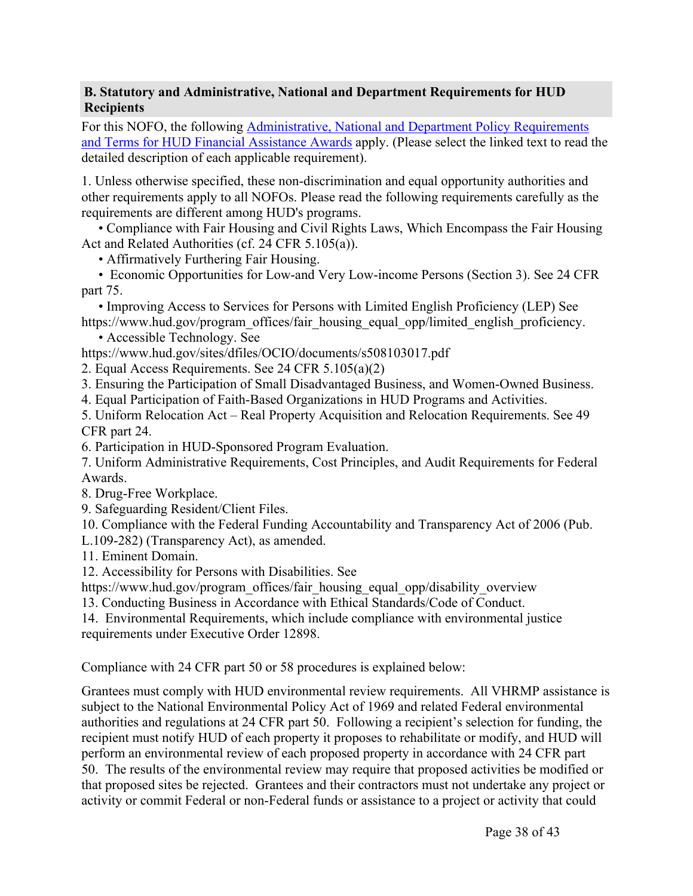#### <span id="page-38-0"></span>**B. Statutory and Administrative, National and Department Requirements for HUD Recipients**

For this NOFO, the following [Administrative,](https://www.hud.gov/sites/dfiles/CFO/images/General%20Administration%20Requirements%20and%20Terms%20for%20HUD%20Assistance%20Awards.docx) National and Department Policy Requirements and Terms for HUD Financial [Assistance](https://www.hud.gov/sites/dfiles/CFO/images/General%20Administration%20Requirements%20and%20Terms%20for%20HUD%20Assistance%20Awards.docx) Awards apply. (Please select the linked text to read the detailed description of each applicable requirement).

1. Unless otherwise specified, these non-discrimination and equal opportunity authorities and other requirements apply to all NOFOs. Please read the following requirements carefully as the requirements are different among HUD's programs.

• Compliance with Fair Housing and Civil Rights Laws, Which Encompass the Fair Housing Act and Related Authorities (cf. 24 CFR 5.105(a)).

• Affirmatively Furthering Fair Housing.

• Economic Opportunities for Low-and Very Low-income Persons (Section 3). See 24 CFR part 75.

• Improving Access to Services for Persons with Limited English Proficiency (LEP) See https://www.hud.gov/program\_offices/fair\_housing\_equal\_opp/limited\_english\_proficiency.

• Accessible Technology. See

https://www.hud.gov/sites/dfiles/OCIO/documents/s508103017.pdf

2. Equal Access Requirements. See 24 CFR 5.105(a)(2)

3. Ensuring the Participation of Small Disadvantaged Business, and Women-Owned Business.

4. Equal Participation of Faith-Based Organizations in HUD Programs and Activities.

5. Uniform Relocation Act – Real Property Acquisition and Relocation Requirements. See 49 CFR part 24.

6. Participation in HUD-Sponsored Program Evaluation.

7. Uniform Administrative Requirements, Cost Principles, and Audit Requirements for Federal Awards.

8. Drug-Free Workplace.

9. Safeguarding Resident/Client Files.

10. Compliance with the Federal Funding Accountability and Transparency Act of 2006 (Pub.

L.109-282) (Transparency Act), as amended.

11. Eminent Domain.

12. Accessibility for Persons with Disabilities. See

https://www.hud.gov/program\_offices/fair\_housing\_equal\_opp/disability\_overview

13. Conducting Business in Accordance with Ethical Standards/Code of Conduct.

14. Environmental Requirements, which include compliance with environmental justice requirements under Executive Order 12898.

Compliance with 24 CFR part 50 or 58 procedures is explained below:

Grantees must comply with HUD environmental review requirements. All VHRMP assistance is subject to the National Environmental Policy Act of 1969 and related Federal environmental authorities and regulations at 24 CFR part 50. Following a recipient's selection for funding, the recipient must notify HUD of each property it proposes to rehabilitate or modify, and HUD will perform an environmental review of each proposed property in accordance with 24 CFR part 50. The results of the environmental review may require that proposed activities be modified or that proposed sites be rejected. Grantees and their contractors must not undertake any project or activity or commit Federal or non-Federal funds or assistance to a project or activity that could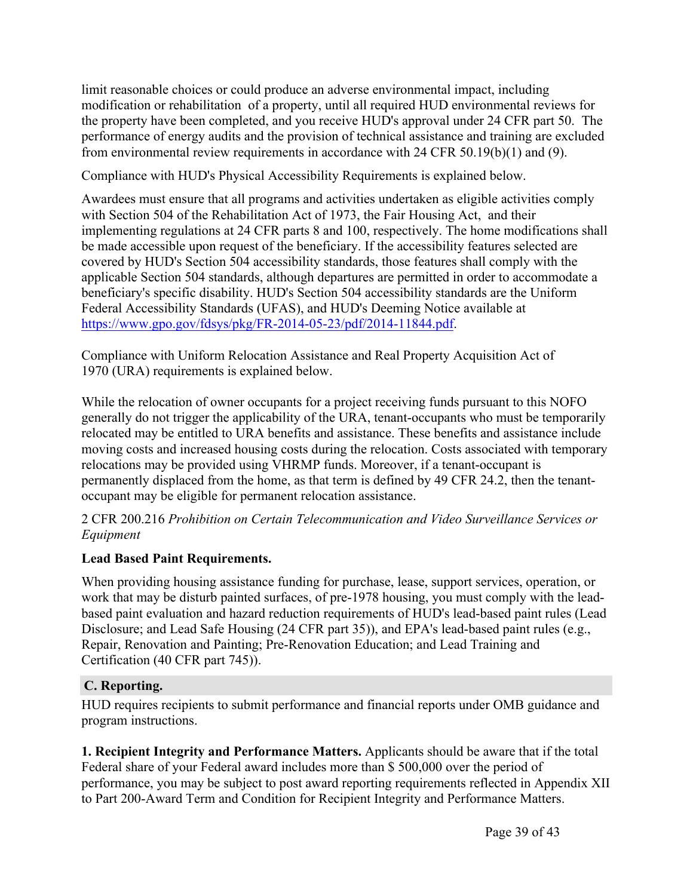limit reasonable choices or could produce an adverse environmental impact, including modification or rehabilitation of a property, until all required HUD environmental reviews for the property have been completed, and you receive HUD's approval under 24 CFR part 50. The performance of energy audits and the provision of technical assistance and training are excluded from environmental review requirements in accordance with 24 CFR 50.19(b)(1) and (9).

Compliance with HUD's Physical Accessibility Requirements is explained below.

Awardees must ensure that all programs and activities undertaken as eligible activities comply with Section 504 of the Rehabilitation Act of 1973, the Fair Housing Act, and their implementing regulations at 24 CFR parts 8 and 100, respectively. The home modifications shall be made accessible upon request of the beneficiary. If the accessibility features selected are covered by HUD's Section 504 accessibility standards, those features shall comply with the applicable Section 504 standards, although departures are permitted in order to accommodate a beneficiary's specific disability. HUD's Section 504 accessibility standards are the Uniform Federal Accessibility Standards (UFAS), and HUD's Deeming Notice available at [https://www.gpo.gov/fdsys/pkg/FR-2014-05-23/pdf/2014-11844.pdf.](https://foa.grantsolutions.gov/"	As%20applicable, awardees must ensure that all programs and activities undertaken as eligible activities comply with the Fair Housing Act, Section 504 of the Rehabilitation Act of 1973, and the Americans with Disabilities Act of 1990, and their implementing regulations. Further, the appropriate federal accessibility requirements including the Uniform Federal Accessibility Standards (UFAS), Fair Housing Act Accessibility Guidelines, 2010 ADA Accessibility Standards, and HUD)

Compliance with Uniform Relocation Assistance and Real Property Acquisition Act of 1970 (URA) requirements is explained below.

While the relocation of owner occupants for a project receiving funds pursuant to this NOFO generally do not trigger the applicability of the URA, tenant-occupants who must be temporarily relocated may be entitled to URA benefits and assistance. These benefits and assistance include moving costs and increased housing costs during the relocation. Costs associated with temporary relocations may be provided using VHRMP funds. Moreover, if a tenant-occupant is permanently displaced from the home, as that term is defined by 49 CFR 24.2, then the tenantoccupant may be eligible for permanent relocation assistance.

2 CFR 200.216 *Prohibition on Certain Telecommunication and Video Surveillance Services or Equipment*

# **Lead Based Paint Requirements.**

When providing housing assistance funding for purchase, lease, support services, operation, or work that may be disturb painted surfaces, of pre-1978 housing, you must comply with the leadbased paint evaluation and hazard reduction requirements of HUD's lead-based paint rules (Lead Disclosure; and Lead Safe Housing (24 CFR part 35)), and EPA's lead-based paint rules (e.g., Repair, Renovation and Painting; Pre-Renovation Education; and Lead Training and Certification (40 CFR part 745)).

#### <span id="page-39-0"></span>**C. Reporting.**

HUD requires recipients to submit performance and financial reports under OMB guidance and program instructions.

**1. Recipient Integrity and Performance Matters.** Applicants should be aware that if the total Federal share of your Federal award includes more than \$ 500,000 over the period of performance, you may be subject to post award reporting requirements reflected in Appendix XII to Part 200-Award Term and Condition for Recipient Integrity and Performance Matters.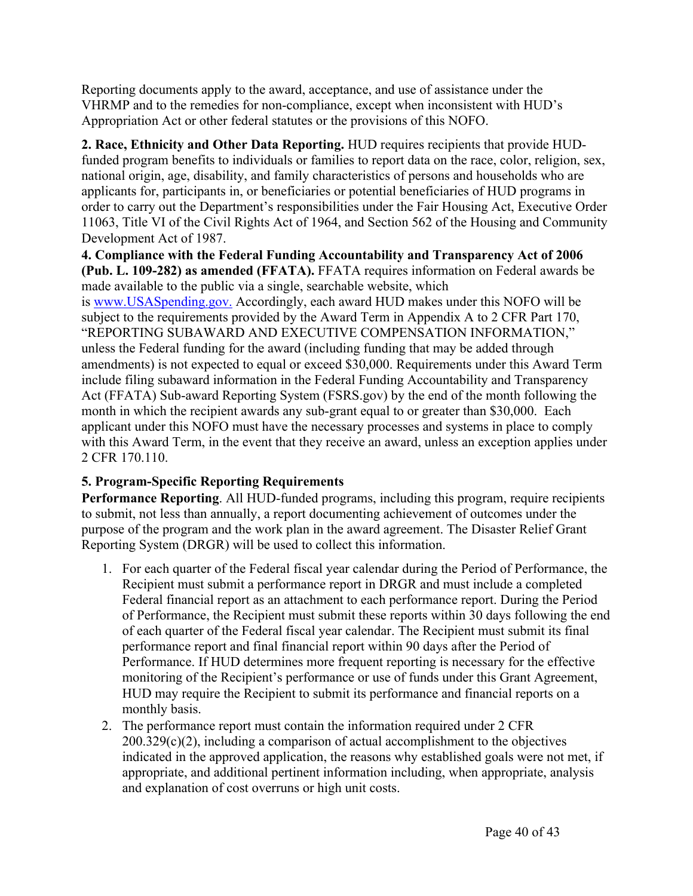Reporting documents apply to the award, acceptance, and use of assistance under the VHRMP and to the remedies for non-compliance, except when inconsistent with HUD's Appropriation Act or other federal statutes or the provisions of this NOFO.

#### **2. Race, Ethnicity and Other Data Reporting.** HUD requires recipients that provide HUDfunded program benefits to individuals or families to report data on the race, color, religion, sex, national origin, age, disability, and family characteristics of persons and households who are applicants for, participants in, or beneficiaries or potential beneficiaries of HUD programs in order to carry out the Department's responsibilities under the Fair Housing Act, Executive Order 11063, Title VI of the Civil Rights Act of 1964, and Section 562 of the Housing and Community Development Act of 1987.

**4. Compliance with the Federal Funding Accountability and Transparency Act of 2006 (Pub. L. 109-282) as amended (FFATA).** FFATA requires information on Federal awards be made available to the public via a single, searchable website, which is [www.USASpending.gov.](http://www.USASpending.gov/) Accordingly, each award HUD makes under this NOFO will be subject to the requirements provided by the Award Term in Appendix A to 2 CFR Part 170, "REPORTING SUBAWARD AND EXECUTIVE COMPENSATION INFORMATION," unless the Federal funding for the award (including funding that may be added through amendments) is not expected to equal or exceed \$30,000. Requirements under this Award Term include filing subaward information in the Federal Funding Accountability and Transparency Act (FFATA) Sub-award Reporting System (FSRS.gov) by the end of the month following the month in which the recipient awards any sub-grant equal to or greater than \$30,000. Each applicant under this NOFO must have the necessary processes and systems in place to comply with this Award Term, in the event that they receive an award, unless an exception applies under 2 CFR 170.110.

# **5. Program-Specific Reporting Requirements**

**Performance Reporting**. All HUD-funded programs, including this program, require recipients to submit, not less than annually, a report documenting achievement of outcomes under the purpose of the program and the work plan in the award agreement. The Disaster Relief Grant Reporting System (DRGR) will be used to collect this information.

- 1. For each quarter of the Federal fiscal year calendar during the Period of Performance, the Recipient must submit a performance report in DRGR and must include a completed Federal financial report as an attachment to each performance report. During the Period of Performance, the Recipient must submit these reports within 30 days following the end of each quarter of the Federal fiscal year calendar. The Recipient must submit its final performance report and final financial report within 90 days after the Period of Performance. If HUD determines more frequent reporting is necessary for the effective monitoring of the Recipient's performance or use of funds under this Grant Agreement, HUD may require the Recipient to submit its performance and financial reports on a monthly basis.
- 2. The performance report must contain the information required under 2 CFR  $200.329(c)(2)$ , including a comparison of actual accomplishment to the objectives indicated in the approved application, the reasons why established goals were not met, if appropriate, and additional pertinent information including, when appropriate, analysis and explanation of cost overruns or high unit costs.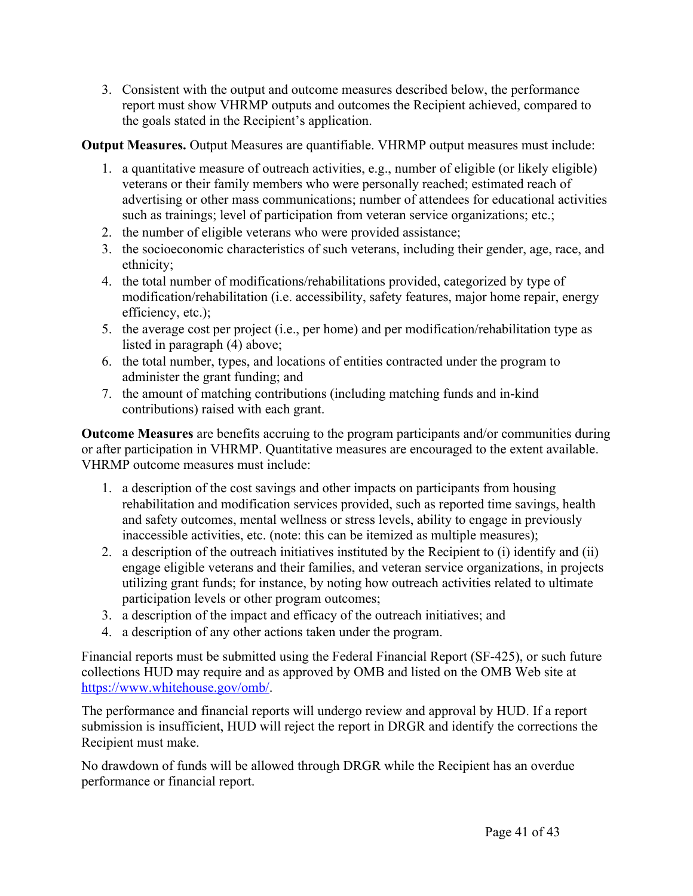3. Consistent with the output and outcome measures described below, the performance report must show VHRMP outputs and outcomes the Recipient achieved, compared to the goals stated in the Recipient's application.

# **Output Measures.** Output Measures are quantifiable. VHRMP output measures must include:

- 1. a quantitative measure of outreach activities, e.g., number of eligible (or likely eligible) veterans or their family members who were personally reached; estimated reach of advertising or other mass communications; number of attendees for educational activities such as trainings; level of participation from veteran service organizations; etc.;
- 2. the number of eligible veterans who were provided assistance;
- 3. the socioeconomic characteristics of such veterans, including their gender, age, race, and ethnicity;
- 4. the total number of modifications/rehabilitations provided, categorized by type of modification/rehabilitation (i.e. accessibility, safety features, major home repair, energy efficiency, etc.);
- 5. the average cost per project (i.e., per home) and per modification/rehabilitation type as listed in paragraph (4) above;
- 6. the total number, types, and locations of entities contracted under the program to administer the grant funding; and
- 7. the amount of matching contributions (including matching funds and in-kind contributions) raised with each grant.

**Outcome Measures** are benefits accruing to the program participants and/or communities during or after participation in VHRMP. Quantitative measures are encouraged to the extent available. VHRMP outcome measures must include:

- 1. a description of the cost savings and other impacts on participants from housing rehabilitation and modification services provided, such as reported time savings, health and safety outcomes, mental wellness or stress levels, ability to engage in previously inaccessible activities, etc. (note: this can be itemized as multiple measures);
- 2. a description of the outreach initiatives instituted by the Recipient to (i) identify and (ii) engage eligible veterans and their families, and veteran service organizations, in projects utilizing grant funds; for instance, by noting how outreach activities related to ultimate participation levels or other program outcomes;
- 3. a description of the impact and efficacy of the outreach initiatives; and
- 4. a description of any other actions taken under the program.

Financial reports must be submitted using the Federal Financial Report (SF-425), or such future collections HUD may require and as approved by OMB and listed on the OMB Web site at [https://www.whitehouse.gov/omb/.](https://www.whitehouse.gov/omb/)

The performance and financial reports will undergo review and approval by HUD. If a report submission is insufficient, HUD will reject the report in DRGR and identify the corrections the Recipient must make.

No drawdown of funds will be allowed through DRGR while the Recipient has an overdue performance or financial report.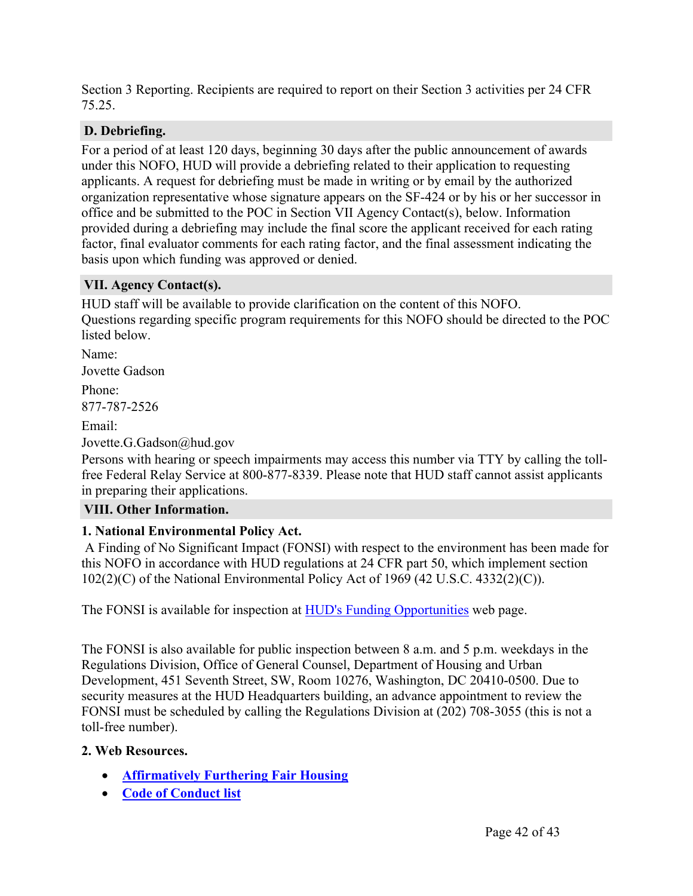Section 3 Reporting. Recipients are required to report on their Section 3 activities per 24 CFR 75.25.

# <span id="page-42-0"></span>**D. Debriefing.**

For a period of at least 120 days, beginning 30 days after the public announcement of awards under this NOFO, HUD will provide a debriefing related to their application to requesting applicants. A request for debriefing must be made in writing or by email by the authorized organization representative whose signature appears on the SF-424 or by his or her successor in office and be submitted to the POC in Section VII Agency Contact(s), below. Information provided during a debriefing may include the final score the applicant received for each rating factor, final evaluator comments for each rating factor, and the final assessment indicating the basis upon which funding was approved or denied.

#### <span id="page-42-1"></span>**VII. Agency Contact(s).**

HUD staff will be available to provide clarification on the content of this NOFO. Questions regarding specific program requirements for this NOFO should be directed to the POC listed below.

Name: Jovette Gadson Phone: 877-787-2526 Email: Jovette.G.Gadson@hud.gov

Persons with hearing or speech impairments may access this number via TTY by calling the tollfree Federal Relay Service at 800-877-8339. Please note that HUD staff cannot assist applicants in preparing their applications.

#### <span id="page-42-2"></span>**VIII. Other Information.**

#### **1. National Environmental Policy Act.**

A Finding of No Significant Impact (FONSI) with respect to the environment has been made for this NOFO in accordance with HUD regulations at 24 CFR part 50, which implement section 102(2)(C) of the National Environmental Policy Act of 1969 (42 U.S.C. 4332(2)(C)).

The FONSI is available for inspection at HUD's Funding [Opportunities](https://www.hud.gov/program_offices/spm/gmomgmt/grantsinfo/fundingopps) web page.

The FONSI is also available for public inspection between 8 a.m. and 5 p.m. weekdays in the Regulations Division, Office of General Counsel, Department of Housing and Urban Development, 451 Seventh Street, SW, Room 10276, Washington, DC 20410-0500. Due to security measures at the HUD Headquarters building, an advance appointment to review the FONSI must be scheduled by calling the Regulations Division at (202) 708-3055 (this is not a toll-free number).

#### **2. Web Resources.**

- **[Affirmatively](https://www.hud.gov/program_offices/fair_housing_equal_opp/fair_housing_rights_and_obligations) Furthering Fair Housing**
- **Code of [Conduct](https://www.hud.gov/program_offices/spm/gmomgmt/grantsinfo/conductgrants) list**